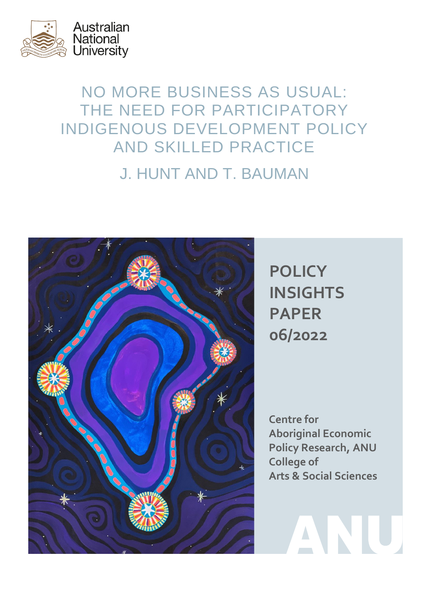

# NO MORE BUSINESS AS USUAL: THE NEED FOR PARTICIPATORY INDIGENOUS DEVELOPMENT POLICY AND SKILLED PRACTICE J. HUNT AND T. BAUMAN



**POLICY INSIGHTS PAPER 06/2022**

**Centre for Aboriginal Economic Policy Research, ANU College of Arts & Social Sciences**

ANU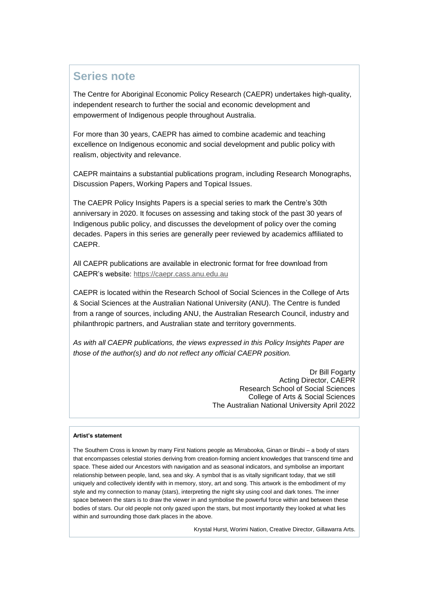### <span id="page-1-0"></span>**Series note**

The Centre for Aboriginal Economic Policy Research (CAEPR) undertakes high-quality, independent research to further the social and economic development and empowerment of Indigenous people throughout Australia.

For more than 30 years, CAEPR has aimed to combine academic and teaching excellence on Indigenous economic and social development and public policy with realism, objectivity and relevance.

CAEPR maintains a substantial publications program, including Research Monographs, Discussion Papers, Working Papers and Topical Issues.

The CAEPR Policy Insights Papers is a special series to mark the Centre's 30th anniversary in 2020. It focuses on assessing and taking stock of the past 30 years of Indigenous public policy, and discusses the development of policy over the coming decades. Papers in this series are generally peer reviewed by academics affiliated to CAEPR.

All CAEPR publications are available in electronic format for free download from CAEPR's website: [https://caepr.cass.anu.edu.au](https://caepr.cass.anu.edu.au/)

CAEPR is located within the Research School of Social Sciences in the College of Arts & Social Sciences at the Australian National University (ANU). The Centre is funded from a range of sources, including ANU, the Australian Research Council, industry and philanthropic partners, and Australian state and territory governments.

*As with all CAEPR publications, the views expressed in this Policy Insights Paper are those of the author(s) and do not reflect any official CAEPR position.*

> Dr Bill Fogarty Acting Director, CAEPR Research School of Social Sciences College of Arts & Social Sciences The Australian National University April 2022

#### **Artist's statement**

The Southern Cross is known by many First Nations people as Mirrabooka, Ginan or Birubi – a body of stars that encompasses celestial stories deriving from creation-forming ancient knowledges that transcend time and space. These aided our Ancestors with navigation and as seasonal indicators, and symbolise an important relationship between people, land, sea and sky. A symbol that is as vitally significant today, that we still uniquely and collectively identify with in memory, story, art and song. This artwork is the embodiment of my style and my connection to manay (stars), interpreting the night sky using cool and dark tones. The inner space between the stars is to draw the viewer in and symbolise the powerful force within and between these bodies of stars. Our old people not only gazed upon the stars, but most importantly they looked at what lies within and surrounding those dark places in the above.

Krystal Hurst, Worimi Nation, Creative Director, Gillawarra Arts.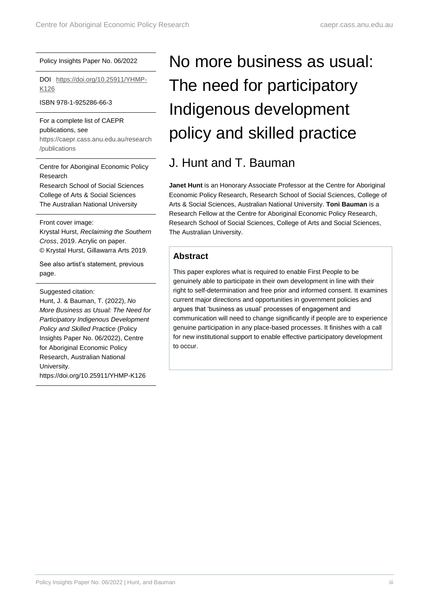#### Policy Insights Paper No. 06/2022

DOI [https://doi.org/10.25911/YHMP-](https://doi.org/10.25911/YHMP-K126)[K126](https://doi.org/10.25911/YHMP-K126)

ISBN 978-1-925286-66-3

For a complete list of CAEPR publications, see [https://caepr.cass.anu.edu.au/research](https://caepr.cass.anu.edu.au/research/publications) [/publications](https://caepr.cass.anu.edu.au/research/publications)

Centre for Aboriginal Economic Policy Research Research School of Social Sciences College of Arts & Social Sciences The Australian National University

Front cover image:

Krystal Hurst, *Reclaiming the Southern Cross*, 2019. Acrylic on paper. © Krystal Hurst, Gillawarra Arts 2019.

See also artist's statement, previous page.

Suggested citation:

Hunt, J. & Bauman, T. (2022), *No More Business as Usual: The Need for Participatory Indigenous Development Policy and Skilled Practice* (Policy Insights Paper No. 06/2022), Centre for Aboriginal Economic Policy Research, Australian National University. https://doi.org/10.25911/YHMP-K126

# No more business as usual: The need for participatory Indigenous development policy and skilled practice

## J. Hunt and T. Bauman

**Janet Hunt** is an Honorary Associate Professor at the Centre for Aboriginal Economic Policy Research, Research School of Social Sciences, College of Arts & Social Sciences, Australian National University. **Toni Bauman** is a Research Fellow at the Centre for Aboriginal Economic Policy Research, Research School of Social Sciences, College of Arts and Social Sciences, The Australian University.

#### <span id="page-2-0"></span>**Abstract**

This paper explores what is required to enable First People to be genuinely able to participate in their own development in line with their right to self-determination and free prior and informed consent. It examines current major directions and opportunities in government policies and argues that 'business as usual' processes of engagement and communication will need to change significantly if people are to experience genuine participation in any place-based processes. It finishes with a call for new institutional support to enable effective participatory development to occur.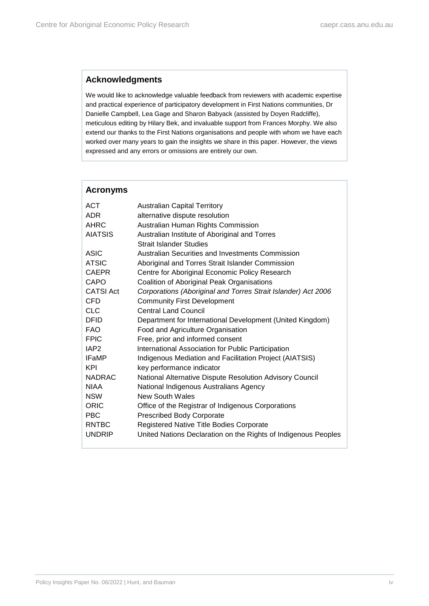#### <span id="page-3-0"></span>**Acknowledgments**

We would like to acknowledge valuable feedback from reviewers with academic expertise and practical experience of participatory development in First Nations communities, Dr Danielle Campbell, Lea Gage and Sharon Babyack (assisted by Doyen Radcliffe), meticulous editing by Hilary Bek, and invaluable support from Frances Morphy. We also extend our thanks to the First Nations organisations and people with whom we have each worked over many years to gain the insights we share in this paper. However, the views expressed and any errors or omissions are entirely our own.

<span id="page-3-1"></span>

| <b>Acronyms</b>  |                                                                |
|------------------|----------------------------------------------------------------|
| ACT              | <b>Australian Capital Territory</b>                            |
| <b>ADR</b>       | alternative dispute resolution                                 |
| <b>AHRC</b>      | Australian Human Rights Commission                             |
| <b>AIATSIS</b>   | Australian Institute of Aboriginal and Torres                  |
|                  | <b>Strait Islander Studies</b>                                 |
| ASIC             | Australian Securities and Investments Commission               |
| <b>ATSIC</b>     | Aboriginal and Torres Strait Islander Commission               |
| <b>CAEPR</b>     | Centre for Aboriginal Economic Policy Research                 |
| CAPO             | Coalition of Aboriginal Peak Organisations                     |
| <b>CATSI Act</b> | Corporations (Aboriginal and Torres Strait Islander) Act 2006  |
| <b>CFD</b>       | <b>Community First Development</b>                             |
| <b>CLC</b>       | <b>Central Land Council</b>                                    |
| <b>DFID</b>      | Department for International Development (United Kingdom)      |
| <b>FAO</b>       | Food and Agriculture Organisation                              |
| <b>FPIC</b>      | Free, prior and informed consent                               |
| IAP <sub>2</sub> | International Association for Public Participation             |
| <b>IFaMP</b>     | Indigenous Mediation and Facilitation Project (AIATSIS)        |
| KPI              | key performance indicator                                      |
| <b>NADRAC</b>    | National Alternative Dispute Resolution Advisory Council       |
| <b>NIAA</b>      | National Indigenous Australians Agency                         |
| <b>NSW</b>       | New South Wales                                                |
| ORIC             | Office of the Registrar of Indigenous Corporations             |
| PBC.             | <b>Prescribed Body Corporate</b>                               |
| <b>RNTBC</b>     | Registered Native Title Bodies Corporate                       |
| <b>UNDRIP</b>    | United Nations Declaration on the Rights of Indigenous Peoples |

#### Policy Insights Paper No. 06/2022 | Hunt, and Bauman iversity of the state of the state of the state of the state of the state of the state of the state of the state of the state of the state of the state of the state of t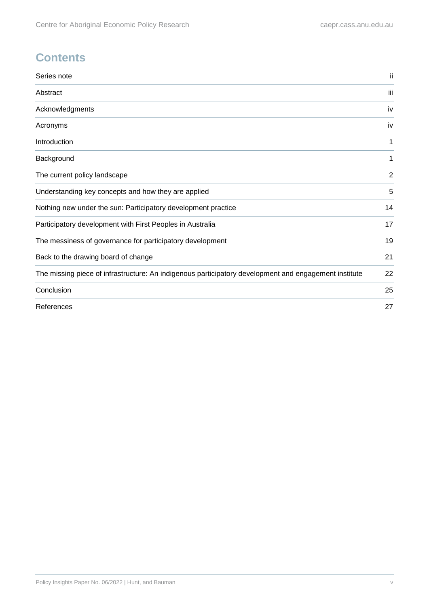# **Contents**

| Series note                                                                                           | ii  |
|-------------------------------------------------------------------------------------------------------|-----|
| Abstract                                                                                              | iii |
| Acknowledgments                                                                                       | iv  |
| Acronyms                                                                                              | iv  |
| Introduction                                                                                          | 1   |
| Background                                                                                            | 1   |
| The current policy landscape                                                                          | 2   |
| Understanding key concepts and how they are applied                                                   | 5   |
| Nothing new under the sun: Participatory development practice                                         | 14  |
| Participatory development with First Peoples in Australia                                             | 17  |
| The messiness of governance for participatory development                                             | 19  |
| Back to the drawing board of change                                                                   | 21  |
| The missing piece of infrastructure: An indigenous participatory development and engagement institute | 22  |
| Conclusion                                                                                            | 25  |
| References                                                                                            | 27  |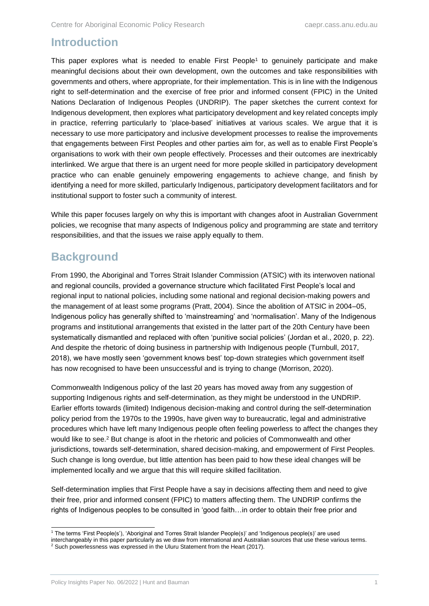### <span id="page-5-0"></span>**Introduction**

This paper explores what is needed to enable First People<sup>1</sup> to genuinely participate and make meaningful decisions about their own development, own the outcomes and take responsibilities with governments and others, where appropriate, for their implementation. This is in line with the Indigenous right to self-determination and the exercise of free prior and informed consent (FPIC) in the United Nations Declaration of Indigenous Peoples (UNDRIP). The paper sketches the current context for Indigenous development, then explores what participatory development and key related concepts imply in practice, referring particularly to 'place-based' initiatives at various scales. We argue that it is necessary to use more participatory and inclusive development processes to realise the improvements that engagements between First Peoples and other parties aim for, as well as to enable First People's organisations to work with their own people effectively. Processes and their outcomes are inextricably interlinked. We argue that there is an urgent need for more people skilled in participatory development practice who can enable genuinely empowering engagements to achieve change, and finish by identifying a need for more skilled, particularly Indigenous, participatory development facilitators and for institutional support to foster such a community of interest.

While this paper focuses largely on why this is important with changes afoot in Australian Government policies, we recognise that many aspects of Indigenous policy and programming are state and territory responsibilities, and that the issues we raise apply equally to them.

## <span id="page-5-1"></span>**Background**

From 1990, the Aboriginal and Torres Strait Islander Commission (ATSIC) with its interwoven national and regional councils, provided a governance structure which facilitated First People's local and regional input to national policies, including some national and regional decision-making powers and the management of at least some programs (Pratt, 2004). Since the abolition of ATSIC in 2004–05, Indigenous policy has generally shifted to 'mainstreaming' and 'normalisation'. Many of the Indigenous programs and institutional arrangements that existed in the latter part of the 20th Century have been systematically dismantled and replaced with often 'punitive social policies' (Jordan et al., 2020, p. 22). And despite the rhetoric of doing business in partnership with Indigenous people (Turnbull, 2017, 2018), we have mostly seen 'government knows best' top-down strategies which government itself has now recognised to have been unsuccessful and is trying to change (Morrison, 2020).

Commonwealth Indigenous policy of the last 20 years has moved away from any suggestion of supporting Indigenous rights and self-determination, as they might be understood in the UNDRIP. Earlier efforts towards (limited) Indigenous decision-making and control during the self-determination policy period from the 1970s to the 1990s, have given way to bureaucratic, legal and administrative procedures which have left many Indigenous people often feeling powerless to affect the changes they would like to see.<sup>2</sup> But change is afoot in the rhetoric and policies of Commonwealth and other jurisdictions, towards self-determination, shared decision-making, and empowerment of First Peoples. Such change is long overdue, but little attention has been paid to how these ideal changes will be implemented locally and we argue that this will require skilled facilitation.

Self-determination implies that First People have a say in decisions affecting them and need to give their free, prior and informed consent (FPIC) to matters affecting them. The UNDRIP confirms the rights of Indigenous peoples to be consulted in 'good faith…in order to obtain their free prior and

interchangeably in this paper particularly as we draw from international and Australian sources that use these various terms.

 $\overline{a}$ <sup>1</sup> The terms 'First People(s'), 'Aboriginal and Torres Strait Islander People(s)' and 'Indigenous people(s)' are used

<sup>&</sup>lt;sup>2</sup> Such powerlessness was expressed in the Uluru Statement from the Heart (2017).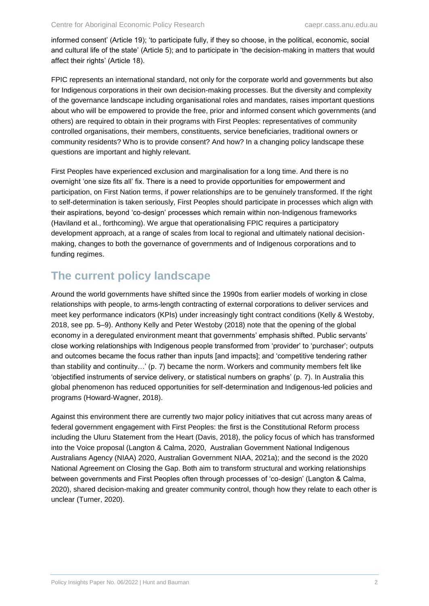informed consent' (Article 19); 'to participate fully, if they so choose, in the political, economic, social and cultural life of the state' (Article 5); and to participate in 'the decision-making in matters that would affect their rights' (Article 18).

FPIC represents an international standard, not only for the corporate world and governments but also for Indigenous corporations in their own decision-making processes. But the diversity and complexity of the governance landscape including organisational roles and mandates, raises important questions about who will be empowered to provide the free, prior and informed consent which governments (and others) are required to obtain in their programs with First Peoples: representatives of community controlled organisations, their members, constituents, service beneficiaries, traditional owners or community residents? Who is to provide consent? And how? In a changing policy landscape these questions are important and highly relevant.

First Peoples have experienced exclusion and marginalisation for a long time. And there is no overnight 'one size fits all' fix. There is a need to provide opportunities for empowerment and participation, on First Nation terms, if power relationships are to be genuinely transformed. If the right to self-determination is taken seriously, First Peoples should participate in processes which align with their aspirations, beyond 'co-design' processes which remain within non-Indigenous frameworks (Haviland et al., forthcoming). We argue that operationalising FPIC requires a participatory development approach, at a range of scales from local to regional and ultimately national decisionmaking, changes to both the governance of governments and of Indigenous corporations and to funding regimes.

### <span id="page-6-0"></span>**The current policy landscape**

Around the world governments have shifted since the 1990s from earlier models of working in close relationships with people, to arms-length contracting of external corporations to deliver services and meet key performance indicators (KPIs) under increasingly tight contract conditions (Kelly & Westoby, 2018, see pp. 5–9). Anthony Kelly and Peter Westoby (2018) note that the opening of the global economy in a deregulated environment meant that governments' emphasis shifted. Public servants' close working relationships with Indigenous people transformed from 'provider' to 'purchaser'; outputs and outcomes became the focus rather than inputs [and impacts]; and 'competitive tendering rather than stability and continuity…' (p. 7) became the norm. Workers and community members felt like 'objectified instruments of service delivery, or statistical numbers on graphs' (p. 7). In Australia this global phenomenon has reduced opportunities for self-determination and Indigenous-led policies and programs (Howard-Wagner, 2018).

Against this environment there are currently two major policy initiatives that cut across many areas of federal government engagement with First Peoples: the first is the Constitutional Reform process including the Uluru Statement from the Heart (Davis, 2018), the policy focus of which has transformed into the Voice proposal (Langton & Calma, 2020, Australian Government National Indigenous Australians Agency (NIAA) 2020, Australian Government NIAA, 2021a); and the second is the 2020 National Agreement on Closing the Gap. Both aim to transform structural and working relationships between governments and First Peoples often through processes of 'co-design' (Langton & Calma, 2020), shared decision-making and greater community control, though how they relate to each other is unclear (Turner, 2020).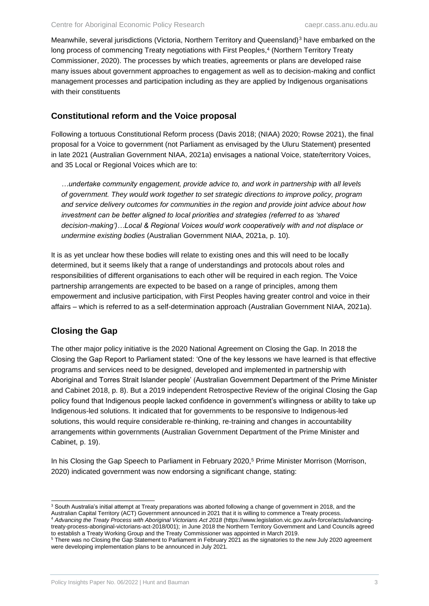Meanwhile, several jurisdictions (Victoria, Northern Territory and Queensland)<sup>3</sup> have embarked on the long process of commencing Treaty negotiations with First Peoples,<sup>4</sup> (Northern Territory Treaty Commissioner, 2020). The processes by which treaties, agreements or plans are developed raise many issues about government approaches to engagement as well as to decision-making and conflict management processes and participation including as they are applied by Indigenous organisations with their constituents

#### **Constitutional reform and the Voice proposal**

Following a tortuous Constitutional Reform process (Davis 2018; (NIAA) 2020; Rowse 2021), the final proposal for a Voice to government (not Parliament as envisaged by the Uluru Statement) presented in late 2021 (Australian Government NIAA, 2021a) envisages a national Voice, state/territory Voices, and 35 Local or Regional Voices which are to:

*…undertake community engagement, provide advice to, and work in partnership with all levels of government. They would work together to set strategic directions to improve policy, program and service delivery outcomes for communities in the region and provide joint advice about how investment can be better aligned to local priorities and strategies (referred to as 'shared decision-making')…Local & Regional Voices would work cooperatively with and not displace or undermine existing bodies* (Australian Government NIAA, 2021a, p. 10)*.*

It is as yet unclear how these bodies will relate to existing ones and this will need to be locally determined, but it seems likely that a range of understandings and protocols about roles and responsibilities of different organisations to each other will be required in each region. The Voice partnership arrangements are expected to be based on a range of principles, among them empowerment and inclusive participation, with First Peoples having greater control and voice in their affairs – which is referred to as a self-determination approach (Australian Government NIAA, 2021a).

#### **Closing the Gap**

The other major policy initiative is the 2020 National Agreement on Closing the Gap. In 2018 the Closing the Gap Report to Parliament stated: 'One of the key lessons we have learned is that effective programs and services need to be designed, developed and implemented in partnership with Aboriginal and Torres Strait Islander people' (Australian Government Department of the Prime Minister and Cabinet 2018, p. 8). But a 2019 independent Retrospective Review of the original Closing the Gap policy found that Indigenous people lacked confidence in government's willingness or ability to take up Indigenous-led solutions. It indicated that for governments to be responsive to Indigenous-led solutions, this would require considerable re-thinking, re-training and changes in accountability arrangements within governments (Australian Government Department of the Prime Minister and Cabinet, p. 19).

In his Closing the Gap Speech to Parliament in February 2020,<sup>5</sup> Prime Minister Morrison (Morrison, 2020) indicated government was now endorsing a significant change, stating:

treaty-process-aboriginal-victorians-act-2018/001); in June 2018 the Northern Territory Government and Land Councils agreed to establish a Treaty Working Group and the Treaty Commissioner was appointed in March 2019.

 $\overline{a}$ <sup>3</sup> South Australia's initial attempt at Treaty preparations was aborted following a change of government in 2018, and the Australian Capital Territory (ACT) Government announced in 2021 that it is willing to commence a Treaty process. <sup>4</sup> *Advancing the Treaty Process with Aboriginal Victorians Act 2018* (https://www.legislation.vic.gov.au/in-force/acts/advancing-

<sup>5</sup> There was no Closing the Gap Statement to Parliament in February 2021 as the signatories to the new July 2020 agreement were developing implementation plans to be announced in July 2021.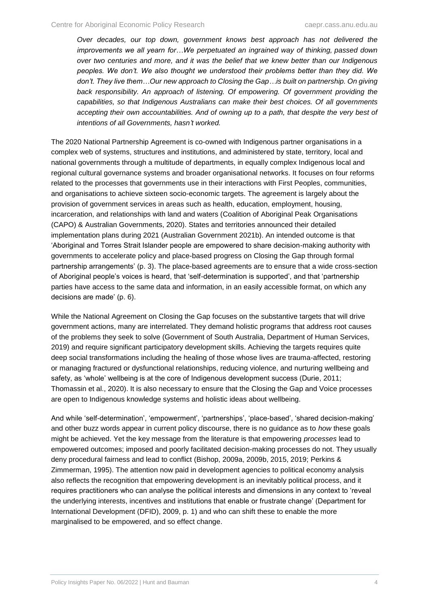*Over decades, our top down, government knows best approach has not delivered the improvements we all yearn for…We perpetuated an ingrained way of thinking, passed down over two centuries and more, and it was the belief that we knew better than our Indigenous peoples. We don't. We also thought we understood their problems better than they did. We don't. They live them…Our new approach to Closing the Gap…is built on partnership. On giving back responsibility. An approach of listening. Of empowering. Of government providing the capabilities, so that Indigenous Australians can make their best choices. Of all governments accepting their own accountabilities. And of owning up to a path, that despite the very best of intentions of all Governments, hasn't worked.*

The 2020 National Partnership Agreement is co-owned with Indigenous partner organisations in a complex web of systems, structures and institutions, and administered by state, territory, local and national governments through a multitude of departments, in equally complex Indigenous local and regional cultural governance systems and broader organisational networks. It focuses on four reforms related to the processes that governments use in their interactions with First Peoples, communities, and organisations to achieve sixteen socio-economic targets. The agreement is largely about the provision of government services in areas such as health, education, employment, housing, incarceration, and relationships with land and waters (Coalition of Aboriginal Peak Organisations (CAPO) & Australian Governments, 2020). States and territories announced their detailed implementation plans during 2021 (Australian Government 2021b). An intended outcome is that 'Aboriginal and Torres Strait Islander people are empowered to share decision-making authority with governments to accelerate policy and place-based progress on Closing the Gap through formal partnership arrangements' (p. 3). The place-based agreements are to ensure that a wide cross-section of Aboriginal people's voices is heard, that 'self-determination is supported', and that 'partnership parties have access to the same data and information, in an easily accessible format, on which any decisions are made' (p. 6).

While the National Agreement on Closing the Gap focuses on the substantive targets that will drive government actions, many are interrelated. They demand holistic programs that address root causes of the problems they seek to solve (Government of South Australia, Department of Human Services, 2019) and require significant participatory development skills. Achieving the targets requires quite deep social transformations including the healing of those whose lives are trauma-affected, restoring or managing fractured or dysfunctional relationships, reducing violence, and nurturing wellbeing and safety, as 'whole' wellbeing is at the core of Indigenous development success (Durie, 2011; Thomassin et al., 2020). It is also necessary to ensure that the Closing the Gap and Voice processes are open to Indigenous knowledge systems and holistic ideas about wellbeing.

And while 'self-determination', 'empowerment', 'partnerships', 'place-based', 'shared decision-making' and other buzz words appear in current policy discourse, there is no guidance as to *how* these goals might be achieved. Yet the key message from the literature is that empowering *processes* lead to empowered outcomes; imposed and poorly facilitated decision-making processes do not. They usually deny procedural fairness and lead to conflict (Bishop, 2009a, 2009b, 2015, 2019; Perkins & Zimmerman, 1995). The attention now paid in development agencies to political economy analysis also reflects the recognition that empowering development is an inevitably political process, and it requires practitioners who can analyse the political interests and dimensions in any context to 'reveal the underlying interests, incentives and institutions that enable or frustrate change' (Department for International Development (DFID), 2009, p. 1) and who can shift these to enable the more marginalised to be empowered, and so effect change.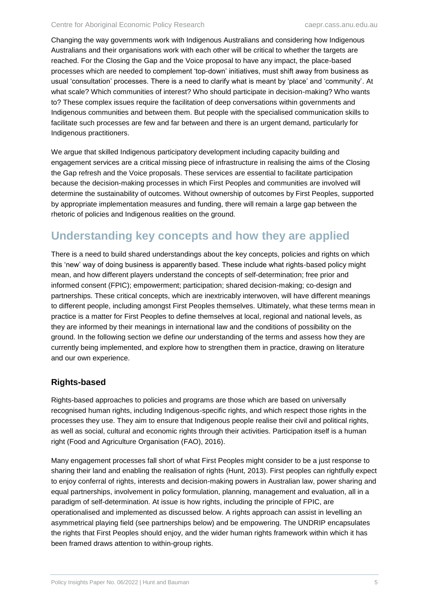Changing the way governments work with Indigenous Australians and considering how Indigenous Australians and their organisations work with each other will be critical to whether the targets are reached. For the Closing the Gap and the Voice proposal to have any impact, the place-based processes which are needed to complement 'top-down' initiatives, must shift away from business as usual 'consultation' processes. There is a need to clarify what is meant by 'place' and 'community'. At what scale? Which communities of interest? Who should participate in decision-making? Who wants to? These complex issues require the facilitation of deep conversations within governments and Indigenous communities and between them. But people with the specialised communication skills to facilitate such processes are few and far between and there is an urgent demand, particularly for Indigenous practitioners.

We argue that skilled Indigenous participatory development including capacity building and engagement services are a critical missing piece of infrastructure in realising the aims of the Closing the Gap refresh and the Voice proposals. These services are essential to facilitate participation because the decision-making processes in which First Peoples and communities are involved will determine the sustainability of outcomes. Without ownership of outcomes by First Peoples, supported by appropriate implementation measures and funding, there will remain a large gap between the rhetoric of policies and Indigenous realities on the ground.

# <span id="page-9-0"></span>**Understanding key concepts and how they are applied**

There is a need to build shared understandings about the key concepts, policies and rights on which this 'new' way of doing business is apparently based. These include what rights-based policy might mean, and how different players understand the concepts of self-determination; free prior and informed consent (FPIC); empowerment; participation; shared decision-making; co-design and partnerships. These critical concepts, which are inextricably interwoven, will have different meanings to different people, including amongst First Peoples themselves. Ultimately, what these terms mean in practice is a matter for First Peoples to define themselves at local, regional and national levels, as they are informed by their meanings in international law and the conditions of possibility on the ground. In the following section we define *our* understanding of the terms and assess how they are currently being implemented, and explore how to strengthen them in practice, drawing on literature and our own experience.

#### **Rights-based**

Rights-based approaches to policies and programs are those which are based on universally recognised human rights, including Indigenous-specific rights, and which respect those rights in the processes they use. They aim to ensure that Indigenous people realise their civil and political rights, as well as social, cultural and economic rights through their activities. Participation itself is a human right (Food and Agriculture Organisation (FAO), 2016).

Many engagement processes fall short of what First Peoples might consider to be a just response to sharing their land and enabling the realisation of rights (Hunt, 2013). First peoples can rightfully expect to enjoy conferral of rights, interests and decision-making powers in Australian law, power sharing and equal partnerships, involvement in policy formulation, planning, management and evaluation, all in a paradigm of self-determination. At issue is how rights, including the principle of FPIC, are operationalised and implemented as discussed below. A rights approach can assist in levelling an asymmetrical playing field (see partnerships below) and be empowering. The UNDRIP encapsulates the rights that First Peoples should enjoy, and the wider human rights framework within which it has been framed draws attention to within-group rights.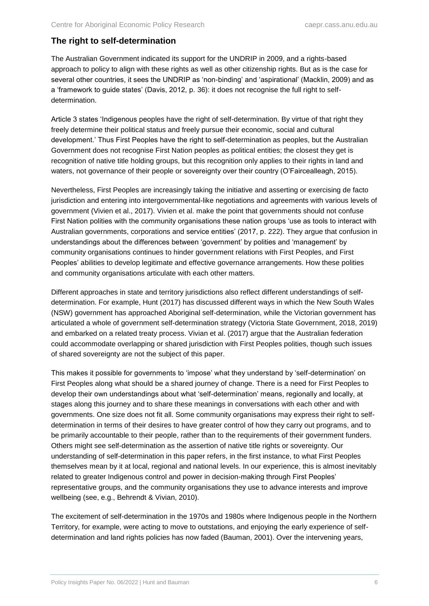#### **The right to self-determination**

The Australian Government indicated its support for the UNDRIP in 2009, and a rights-based approach to policy to align with these rights as well as other citizenship rights. But as is the case for several other countries, it sees the UNDRIP as 'non-binding' and 'aspirational' (Macklin, 2009) and as a 'framework to guide states' (Davis, 2012, p. 36): it does not recognise the full right to selfdetermination.

Article 3 states 'Indigenous peoples have the right of self-determination. By virtue of that right they freely determine their political status and freely pursue their economic, social and cultural development.' Thus First Peoples have the right to self-determination as peoples, but the Australian Government does not recognise First Nation peoples as political entities; the closest they get is recognition of native title holding groups, but this recognition only applies to their rights in land and waters, not governance of their people or sovereignty over their country (O'Faircealleagh, 2015).

Nevertheless, First Peoples are increasingly taking the initiative and asserting or exercising de facto jurisdiction and entering into intergovernmental-like negotiations and agreements with various levels of government (Vivien et al., 2017). Vivien et al. make the point that governments should not confuse First Nation polities with the community organisations these nation groups 'use as tools to interact with Australian governments, corporations and service entities' (2017, p. 222). They argue that confusion in understandings about the differences between 'government' by polities and 'management' by community organisations continues to hinder government relations with First Peoples, and First Peoples' abilities to develop legitimate and effective governance arrangements. How these polities and community organisations articulate with each other matters.

Different approaches in state and territory jurisdictions also reflect different understandings of selfdetermination. For example, Hunt (2017) has discussed different ways in which the New South Wales (NSW) government has approached Aboriginal self-determination, while the Victorian government has articulated a whole of government self-determination strategy (Victoria State Government, 2018, 2019) and embarked on a related treaty process. Vivian et al. (2017) argue that the Australian federation could accommodate overlapping or shared jurisdiction with First Peoples polities, though such issues of shared sovereignty are not the subject of this paper.

This makes it possible for governments to 'impose' what they understand by 'self-determination' on First Peoples along what should be a shared journey of change. There is a need for First Peoples to develop their own understandings about what 'self-determination' means, regionally and locally, at stages along this journey and to share these meanings in conversations with each other and with governments. One size does not fit all. Some community organisations may express their right to selfdetermination in terms of their desires to have greater control of how they carry out programs, and to be primarily accountable to their people, rather than to the requirements of their government funders. Others might see self-determination as the assertion of native title rights or sovereignty. Our understanding of self-determination in this paper refers, in the first instance, to what First Peoples themselves mean by it at local, regional and national levels. In our experience, this is almost inevitably related to greater Indigenous control and power in decision-making through First Peoples' representative groups, and the community organisations they use to advance interests and improve wellbeing (see, e.g., Behrendt & Vivian, 2010).

The excitement of self-determination in the 1970s and 1980s where Indigenous people in the Northern Territory, for example, were acting to move to outstations, and enjoying the early experience of selfdetermination and land rights policies has now faded (Bauman, 2001). Over the intervening years,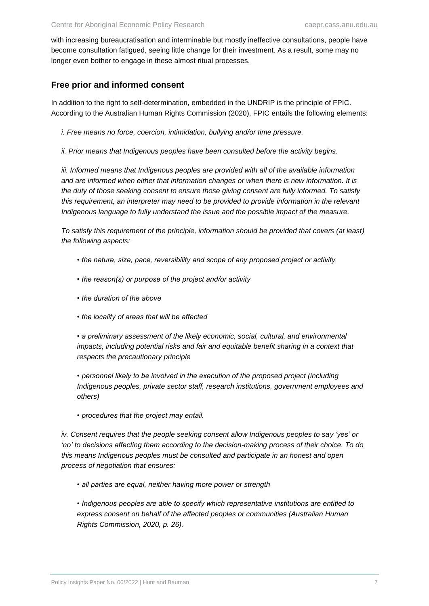with increasing bureaucratisation and interminable but mostly ineffective consultations, people have become consultation fatigued, seeing little change for their investment. As a result, some may no longer even bother to engage in these almost ritual processes.

#### **Free prior and informed consent**

In addition to the right to self-determination, embedded in the UNDRIP is the principle of FPIC. According to the Australian Human Rights Commission (2020), FPIC entails the following elements:

*i. Free means no force, coercion, intimidation, bullying and/or time pressure.*

*ii. Prior means that Indigenous peoples have been consulted before the activity begins.*

iii. Informed means that Indigenous peoples are provided with all of the available information *and are informed when either that information changes or when there is new information. It is the duty of those seeking consent to ensure those giving consent are fully informed. To satisfy this requirement, an interpreter may need to be provided to provide information in the relevant Indigenous language to fully understand the issue and the possible impact of the measure.* 

*To satisfy this requirement of the principle, information should be provided that covers (at least) the following aspects:*

- *the nature, size, pace, reversibility and scope of any proposed project or activity*
- *the reason(s) or purpose of the project and/or activity*
- *the duration of the above*
- *the locality of areas that will be affected*

*• a preliminary assessment of the likely economic, social, cultural, and environmental impacts, including potential risks and fair and equitable benefit sharing in a context that respects the precautionary principle*

*• personnel likely to be involved in the execution of the proposed project (including Indigenous peoples, private sector staff, research institutions, government employees and others)*

*• procedures that the project may entail.*

*iv. Consent requires that the people seeking consent allow Indigenous peoples to say 'yes' or 'no' to decisions affecting them according to the decision-making process of their choice. To do this means Indigenous peoples must be consulted and participate in an honest and open process of negotiation that ensures:*

- *all parties are equal, neither having more power or strength*
- *Indigenous peoples are able to specify which representative institutions are entitled to express consent on behalf of the affected peoples or communities (Australian Human Rights Commission, 2020, p. 26).*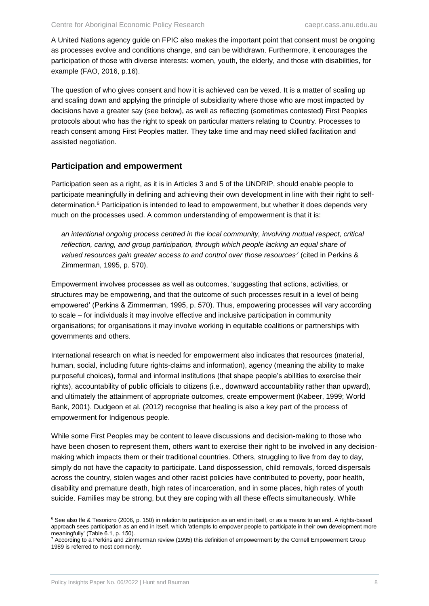A United Nations agency guide on FPIC also makes the important point that consent must be ongoing as processes evolve and conditions change, and can be withdrawn. Furthermore, it encourages the participation of those with diverse interests: women, youth, the elderly, and those with disabilities, for example (FAO, 2016, p.16).

The question of who gives consent and how it is achieved can be vexed. It is a matter of scaling up and scaling down and applying the principle of subsidiarity where those who are most impacted by decisions have a greater say (see below), as well as reflecting (sometimes contested) First Peoples protocols about who has the right to speak on particular matters relating to Country. Processes to reach consent among First Peoples matter. They take time and may need skilled facilitation and assisted negotiation.

#### **Participation and empowerment**

Participation seen as a right, as it is in Articles 3 and 5 of the UNDRIP, should enable people to participate meaningfully in defining and achieving their own development in line with their right to selfdetermination.<sup>6</sup> Participation is intended to lead to empowerment, but whether it does depends very much on the processes used. A common understanding of empowerment is that it is:

*an intentional ongoing process centred in the local community, involving mutual respect, critical*  reflection, caring, and group participation, through which people lacking an equal share of *valued resources gain greater access to and control over those resources<sup>7</sup>* (cited in Perkins & Zimmerman, 1995, p. 570).

Empowerment involves processes as well as outcomes, 'suggesting that actions, activities, or structures may be empowering, and that the outcome of such processes result in a level of being empowered' (Perkins & Zimmerman, 1995, p. 570). Thus, empowering processes will vary according to scale – for individuals it may involve effective and inclusive participation in community organisations; for organisations it may involve working in equitable coalitions or partnerships with governments and others.

International research on what is needed for empowerment also indicates that resources (material, human, social, including future rights-claims and information), agency (meaning the ability to make purposeful choices), formal and informal institutions (that shape people's abilities to exercise their rights), accountability of public officials to citizens (i.e., downward accountability rather than upward), and ultimately the attainment of appropriate outcomes, create empowerment (Kabeer, 1999; World Bank, 2001). Dudgeon et al. (2012) recognise that healing is also a key part of the process of empowerment for Indigenous people.

While some First Peoples may be content to leave discussions and decision-making to those who have been chosen to represent them, others want to exercise their right to be involved in any decisionmaking which impacts them or their traditional countries. Others, struggling to live from day to day, simply do not have the capacity to participate. Land dispossession, child removals, forced dispersals across the country, stolen wages and other racist policies have contributed to poverty, poor health, disability and premature death, high rates of incarceration, and in some places, high rates of youth suicide. Families may be strong, but they are coping with all these effects simultaneously. While

 $\overline{a}$ 

<sup>6</sup> See also Ife & Tesorioro (2006, p. 150) in relation to participation as an end in itself, or as a means to an end. A rights-based approach sees participation as an end in itself, which 'attempts to empower people to participate in their own development more meaningfully' (Table 6.1, p. 150).

<sup>7</sup> According to a Perkins and Zimmerman review (1995) this definition of empowerment by the Cornell Empowerment Group 1989 is referred to most commonly.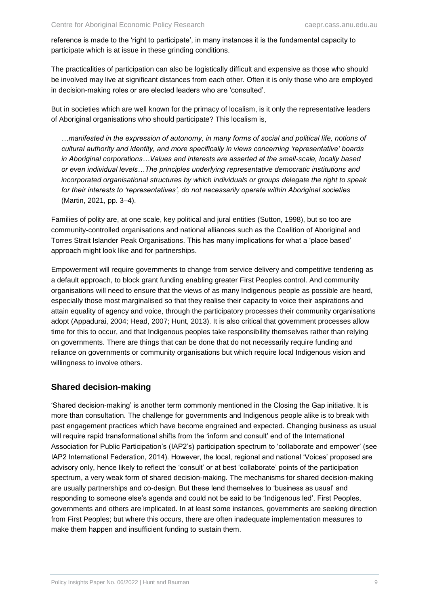reference is made to the 'right to participate', in many instances it is the fundamental capacity to participate which is at issue in these grinding conditions.

The practicalities of participation can also be logistically difficult and expensive as those who should be involved may live at significant distances from each other. Often it is only those who are employed in decision-making roles or are elected leaders who are 'consulted'.

But in societies which are well known for the primacy of localism, is it only the representative leaders of Aboriginal organisations who should participate? This localism is,

*…manifested in the expression of autonomy, in many forms of social and political life, notions of cultural authority and identity, and more specifically in views concerning 'representative' boards in Aboriginal corporations…Values and interests are asserted at the small-scale, locally based or even individual levels…The principles underlying representative democratic institutions and incorporated organisational structures by which individuals or groups delegate the right to speak for their interests to 'representatives', do not necessarily operate within Aboriginal societies*  (Martin, 2021, pp. 3–4).

Families of polity are, at one scale, key political and jural entities (Sutton, 1998), but so too are community-controlled organisations and national alliances such as the Coalition of Aboriginal and Torres Strait Islander Peak Organisations. This has many implications for what a 'place based' approach might look like and for partnerships.

Empowerment will require governments to change from service delivery and competitive tendering as a default approach, to block grant funding enabling greater First Peoples control. And community organisations will need to ensure that the views of as many Indigenous people as possible are heard, especially those most marginalised so that they realise their capacity to voice their aspirations and attain equality of agency and voice, through the participatory processes their community organisations adopt (Appadurai, 2004; Head, 2007; Hunt, 2013). It is also critical that government processes allow time for this to occur, and that Indigenous peoples take responsibility themselves rather than relying on governments. There are things that can be done that do not necessarily require funding and reliance on governments or community organisations but which require local Indigenous vision and willingness to involve others.

#### **Shared decision-making**

'Shared decision-making' is another term commonly mentioned in the Closing the Gap initiative. It is more than consultation. The challenge for governments and Indigenous people alike is to break with past engagement practices which have become engrained and expected. Changing business as usual will require rapid transformational shifts from the 'inform and consult' end of the International Association for Public Participation's (IAP2's) participation spectrum to 'collaborate and empower' (see IAP2 International Federation, 2014). However, the local, regional and national 'Voices' proposed are advisory only, hence likely to reflect the 'consult' or at best 'collaborate' points of the participation spectrum, a very weak form of shared decision-making. The mechanisms for shared decision-making are usually partnerships and co-design. But these lend themselves to 'business as usual' and responding to someone else's agenda and could not be said to be 'Indigenous led'. First Peoples, governments and others are implicated. In at least some instances, governments are seeking direction from First Peoples; but where this occurs, there are often inadequate implementation measures to make them happen and insufficient funding to sustain them.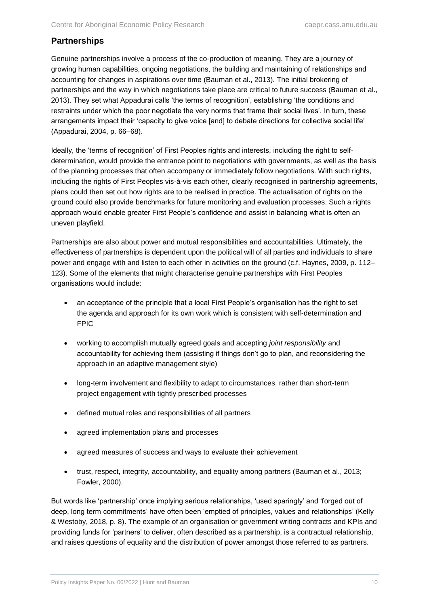#### **Partnerships**

Genuine partnerships involve a process of the co-production of meaning. They are a journey of growing human capabilities, ongoing negotiations, the building and maintaining of relationships and accounting for changes in aspirations over time (Bauman et al., 2013). The initial brokering of partnerships and the way in which negotiations take place are critical to future success (Bauman et al., 2013). They set what Appadurai calls 'the terms of recognition', establishing 'the conditions and restraints under which the poor negotiate the very norms that frame their social lives'. In turn, these arrangements impact their 'capacity to give voice [and] to debate directions for collective social life' (Appadurai, 2004, p. 66–68).

Ideally, the 'terms of recognition' of First Peoples rights and interests, including the right to selfdetermination, would provide the entrance point to negotiations with governments, as well as the basis of the planning processes that often accompany or immediately follow negotiations. With such rights, including the rights of First Peoples vis-à-vis each other, clearly recognised in partnership agreements, plans could then set out how rights are to be realised in practice. The actualisation of rights on the ground could also provide benchmarks for future monitoring and evaluation processes. Such a rights approach would enable greater First People's confidence and assist in balancing what is often an uneven playfield.

Partnerships are also about power and mutual responsibilities and accountabilities. Ultimately, the effectiveness of partnerships is dependent upon the political will of all parties and individuals to share power and engage with and listen to each other in activities on the ground (c.f. Haynes, 2009, p. 112– 123). Some of the elements that might characterise genuine partnerships with First Peoples organisations would include:

- an acceptance of the principle that a local First People's organisation has the right to set the agenda and approach for its own work which is consistent with self-determination and FPIC
- working to accomplish mutually agreed goals and accepting *joint responsibility* and accountability for achieving them (assisting if things don't go to plan, and reconsidering the approach in an adaptive management style)
- long-term involvement and flexibility to adapt to circumstances, rather than short-term project engagement with tightly prescribed processes
- defined mutual roles and responsibilities of all partners
- agreed implementation plans and processes
- agreed measures of success and ways to evaluate their achievement
- trust, respect, integrity, accountability, and equality among partners (Bauman et al., 2013; Fowler, 2000).

But words like 'partnership' once implying serious relationships, 'used sparingly' and 'forged out of deep, long term commitments' have often been 'emptied of principles, values and relationships' (Kelly & Westoby, 2018, p. 8). The example of an organisation or government writing contracts and KPIs and providing funds for 'partners' to deliver, often described as a partnership, is a contractual relationship, and raises questions of equality and the distribution of power amongst those referred to as partners.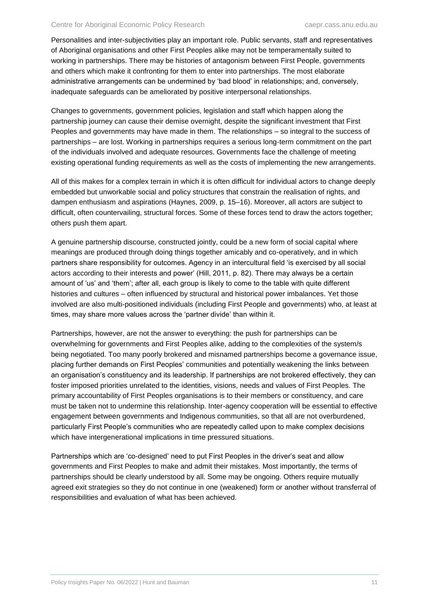Personalities and inter-subjectivities play an important role. Public servants, staff and representatives of Aboriginal organisations and other First Peoples alike may not be temperamentally suited to working in partnerships. There may be histories of antagonism between First People, governments and others which make it confronting for them to enter into partnerships. The most elaborate administrative arrangements can be undermined by 'bad blood' in relationships; and, conversely, inadequate safeguards can be ameliorated by positive interpersonal relationships.

Changes to governments, government policies, legislation and staff which happen along the partnership journey can cause their demise overnight, despite the significant investment that First Peoples and governments may have made in them. The relationships – so integral to the success of partnerships – are lost. Working in partnerships requires a serious long-term commitment on the part of the individuals involved and adequate resources. Governments face the challenge of meeting existing operational funding requirements as well as the costs of implementing the new arrangements.

All of this makes for a complex terrain in which it is often difficult for individual actors to change deeply embedded but unworkable social and policy structures that constrain the realisation of rights, and dampen enthusiasm and aspirations (Haynes, 2009, p. 15–16). Moreover, all actors are subject to difficult, often countervailing, structural forces. Some of these forces tend to draw the actors together; others push them apart.

A genuine partnership discourse, constructed jointly, could be a new form of social capital where meanings are produced through doing things together amicably and co-operatively, and in which partners share responsibility for outcomes. Agency in an intercultural field 'is exercised by all social actors according to their interests and power' (Hill, 2011, p. 82). There may always be a certain amount of 'us' and 'them'; after all, each group is likely to come to the table with quite different histories and cultures – often influenced by structural and historical power imbalances. Yet those involved are also multi-positioned individuals (including First People and governments) who, at least at times, may share more values across the 'partner divide' than within it.

Partnerships, however, are not the answer to everything: the push for partnerships can be overwhelming for governments and First Peoples alike, adding to the complexities of the system/s being negotiated. Too many poorly brokered and misnamed partnerships become a governance issue, placing further demands on First Peoples' communities and potentially weakening the links between an organisation's constituency and its leadership. If partnerships are not brokered effectively, they can foster imposed priorities unrelated to the identities, visions, needs and values of First Peoples. The primary accountability of First Peoples organisations is to their members or constituency, and care must be taken not to undermine this relationship. Inter-agency cooperation will be essential to effective engagement between governments and Indigenous communities, so that all are not overburdened, particularly First People's communities who are repeatedly called upon to make complex decisions which have intergenerational implications in time pressured situations.

Partnerships which are 'co-designed' need to put First Peoples in the driver's seat and allow governments and First Peoples to make and admit their mistakes. Most importantly, the terms of partnerships should be clearly understood by all. Some may be ongoing. Others require mutually agreed exit strategies so they do not continue in one (weakened) form or another without transferral of responsibilities and evaluation of what has been achieved.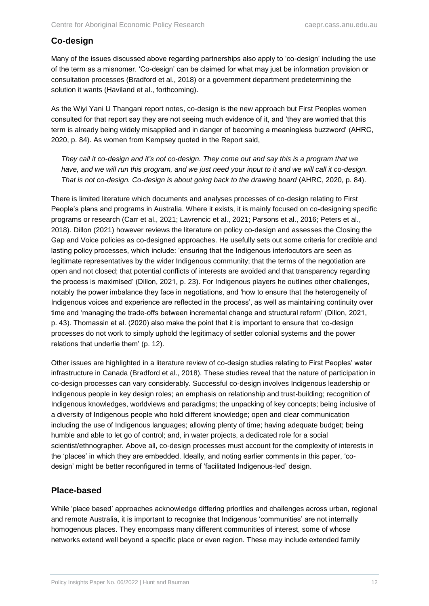#### **Co-design**

Many of the issues discussed above regarding partnerships also apply to 'co-design' including the use of the term as a misnomer. 'Co-design' can be claimed for what may just be information provision or consultation processes (Bradford et al., 2018) or a government department predetermining the solution it wants (Haviland et al., forthcoming).

As the Wiyi Yani U Thangani report notes, co-design is the new approach but First Peoples women consulted for that report say they are not seeing much evidence of it, and 'they are worried that this term is already being widely misapplied and in danger of becoming a meaningless buzzword' (AHRC, 2020, p. 84). As women from Kempsey quoted in the Report said,

*They call it co-design and it's not co-design. They come out and say this is a program that we have, and we will run this program, and we just need your input to it and we will call it co-design. That is not co-design. Co-design is about going back to the drawing board* (AHRC, 2020, p. 84).

There is limited literature which documents and analyses processes of co-design relating to First People's plans and programs in Australia. Where it exists, it is mainly focused on co-designing specific programs or research (Carr et al., 2021; Lavrencic et al., 2021; Parsons et al., 2016; Peters et al., 2018). Dillon (2021) however reviews the literature on policy co-design and assesses the Closing the Gap and Voice policies as co-designed approaches. He usefully sets out some criteria for credible and lasting policy processes, which include: 'ensuring that the Indigenous interlocutors are seen as legitimate representatives by the wider Indigenous community; that the terms of the negotiation are open and not closed; that potential conflicts of interests are avoided and that transparency regarding the process is maximised' (Dillon, 2021, p. 23). For Indigenous players he outlines other challenges, notably the power imbalance they face in negotiations, and 'how to ensure that the heterogeneity of Indigenous voices and experience are reflected in the process', as well as maintaining continuity over time and 'managing the trade-offs between incremental change and structural reform' (Dillon, 2021, p. 43). Thomassin et al. (2020) also make the point that it is important to ensure that 'co-design processes do not work to simply uphold the legitimacy of settler colonial systems and the power relations that underlie them' (p. 12).

Other issues are highlighted in a literature review of co-design studies relating to First Peoples' water infrastructure in Canada (Bradford et al., 2018). These studies reveal that the nature of participation in co-design processes can vary considerably. Successful co-design involves Indigenous leadership or Indigenous people in key design roles; an emphasis on relationship and trust-building; recognition of Indigenous knowledges, worldviews and paradigms; the unpacking of key concepts; being inclusive of a diversity of Indigenous people who hold different knowledge; open and clear communication including the use of Indigenous languages; allowing plenty of time; having adequate budget; being humble and able to let go of control; and, in water projects, a dedicated role for a social scientist/ethnographer. Above all, co-design processes must account for the complexity of interests in the 'places' in which they are embedded. Ideally, and noting earlier comments in this paper, 'codesign' might be better reconfigured in terms of 'facilitated Indigenous-led' design.

#### **Place-based**

While 'place based' approaches acknowledge differing priorities and challenges across urban, regional and remote Australia, it is important to recognise that Indigenous 'communities' are not internally homogenous places. They encompass many different communities of interest, some of whose networks extend well beyond a specific place or even region. These may include extended family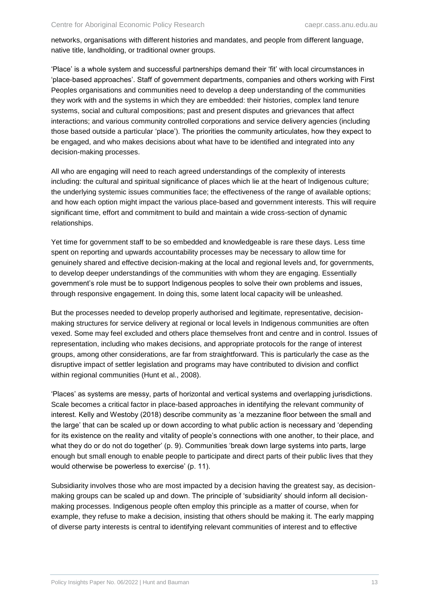networks, organisations with different histories and mandates, and people from different language, native title, landholding, or traditional owner groups.

'Place' is a whole system and successful partnerships demand their 'fit' with local circumstances in 'place-based approaches'. Staff of government departments, companies and others working with First Peoples organisations and communities need to develop a deep understanding of the communities they work with and the systems in which they are embedded: their histories, complex land tenure systems, social and cultural compositions; past and present disputes and grievances that affect interactions; and various community controlled corporations and service delivery agencies (including those based outside a particular 'place'). The priorities the community articulates, how they expect to be engaged, and who makes decisions about what have to be identified and integrated into any decision-making processes.

All who are engaging will need to reach agreed understandings of the complexity of interests including: the cultural and spiritual significance of places which lie at the heart of Indigenous culture; the underlying systemic issues communities face; the effectiveness of the range of available options; and how each option might impact the various place-based and government interests. This will require significant time, effort and commitment to build and maintain a wide cross-section of dynamic relationships.

Yet time for government staff to be so embedded and knowledgeable is rare these days. Less time spent on reporting and upwards accountability processes may be necessary to allow time for genuinely shared and effective decision-making at the local and regional levels and, for governments, to develop deeper understandings of the communities with whom they are engaging. Essentially government's role must be to support Indigenous peoples to solve their own problems and issues, through responsive engagement. In doing this, some latent local capacity will be unleashed.

But the processes needed to develop properly authorised and legitimate, representative, decisionmaking structures for service delivery at regional or local levels in Indigenous communities are often vexed. Some may feel excluded and others place themselves front and centre and in control. Issues of representation, including who makes decisions, and appropriate protocols for the range of interest groups, among other considerations, are far from straightforward. This is particularly the case as the disruptive impact of settler legislation and programs may have contributed to division and conflict within regional communities (Hunt et al., 2008).

'Places' as systems are messy, parts of horizontal and vertical systems and overlapping jurisdictions. Scale becomes a critical factor in place-based approaches in identifying the relevant community of interest. Kelly and Westoby (2018) describe community as 'a mezzanine floor between the small and the large' that can be scaled up or down according to what public action is necessary and 'depending for its existence on the reality and vitality of people's connections with one another, to their place, and what they do or do not do together' (p. 9). Communities 'break down large systems into parts, large enough but small enough to enable people to participate and direct parts of their public lives that they would otherwise be powerless to exercise' (p. 11).

Subsidiarity involves those who are most impacted by a decision having the greatest say, as decisionmaking groups can be scaled up and down. The principle of 'subsidiarity' should inform all decisionmaking processes. Indigenous people often employ this principle as a matter of course, when for example, they refuse to make a decision, insisting that others should be making it. The early mapping of diverse party interests is central to identifying relevant communities of interest and to effective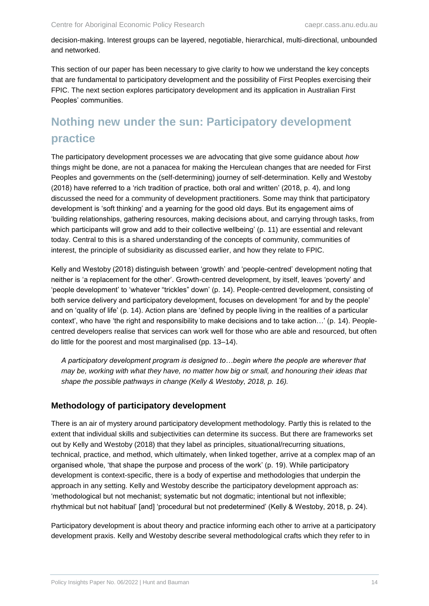decision-making. Interest groups can be layered, negotiable, hierarchical, multi-directional, unbounded and networked.

This section of our paper has been necessary to give clarity to how we understand the key concepts that are fundamental to participatory development and the possibility of First Peoples exercising their FPIC. The next section explores participatory development and its application in Australian First Peoples' communities.

# <span id="page-18-0"></span>**Nothing new under the sun: Participatory development practice**

The participatory development processes we are advocating that give some guidance about *how*  things might be done, are not a panacea for making the Herculean changes that are needed for First Peoples and governments on the (self-determining) journey of self-determination. Kelly and Westoby (2018) have referred to a 'rich tradition of practice, both oral and written' (2018, p. 4), and long discussed the need for a community of development practitioners. Some may think that participatory development is 'soft thinking' and a yearning for the good old days. But its engagement aims of 'building relationships, gathering resources, making decisions about, and carrying through tasks, from which participants will grow and add to their collective wellbeing' (p. 11) are essential and relevant today. Central to this is a shared understanding of the concepts of community, communities of interest, the principle of subsidiarity as discussed earlier, and how they relate to FPIC.

Kelly and Westoby (2018) distinguish between 'growth' and 'people-centred' development noting that neither is 'a replacement for the other'. Growth-centred development, by itself, leaves 'poverty' and 'people development' to 'whatever "trickles" down' (p. 14). People-centred development, consisting of both service delivery and participatory development, focuses on development 'for and by the people' and on 'quality of life' (p. 14). Action plans are 'defined by people living in the realities of a particular context', who have 'the right and responsibility to make decisions and to take action…' (p. 14). Peoplecentred developers realise that services can work well for those who are able and resourced, but often do little for the poorest and most marginalised (pp. 13–14).

*A participatory development program is designed to…begin where the people are wherever that may be, working with what they have, no matter how big or small, and honouring their ideas that shape the possible pathways in change (Kelly & Westoby, 2018, p. 16).*

#### **Methodology of participatory development**

There is an air of mystery around participatory development methodology. Partly this is related to the extent that individual skills and subjectivities can determine its success. But there are frameworks set out by Kelly and Westoby (2018) that they label as principles, situational/recurring situations, technical, practice, and method, which ultimately, when linked together, arrive at a complex map of an organised whole, 'that shape the purpose and process of the work' (p. 19). While participatory development is context-specific, there is a body of expertise and methodologies that underpin the approach in any setting. Kelly and Westoby describe the participatory development approach as: 'methodological but not mechanist; systematic but not dogmatic; intentional but not inflexible; rhythmical but not habitual' [and] 'procedural but not predetermined' (Kelly & Westoby, 2018, p. 24).

Participatory development is about theory and practice informing each other to arrive at a participatory development praxis. Kelly and Westoby describe several methodological crafts which they refer to in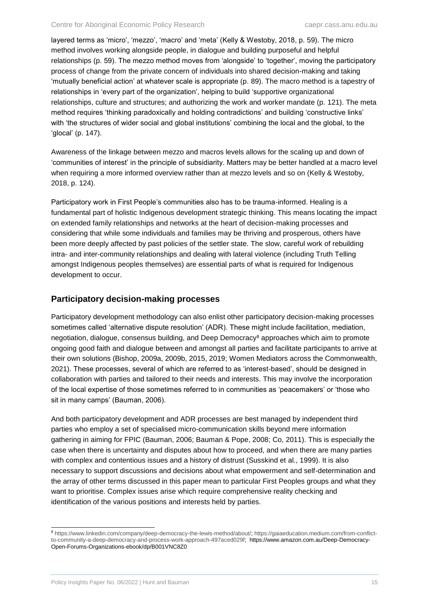layered terms as 'micro', 'mezzo', 'macro' and 'meta' (Kelly & Westoby, 2018, p. 59). The micro method involves working alongside people, in dialogue and building purposeful and helpful relationships (p. 59). The mezzo method moves from 'alongside' to 'together', moving the participatory process of change from the private concern of individuals into shared decision-making and taking 'mutually beneficial action' at whatever scale is appropriate (p. 89). The macro method is a tapestry of relationships in 'every part of the organization', helping to build 'supportive organizational relationships, culture and structures; and authorizing the work and worker mandate (p. 121). The meta method requires 'thinking paradoxically and holding contradictions' and building 'constructive links' with 'the structures of wider social and global institutions' combining the local and the global, to the 'glocal' (p. 147).

Awareness of the linkage between mezzo and macros levels allows for the scaling up and down of 'communities of interest' in the principle of subsidiarity. Matters may be better handled at a macro level when requiring a more informed overview rather than at mezzo levels and so on (Kelly & Westoby, 2018, p. 124).

Participatory work in First People's communities also has to be trauma-informed. Healing is a fundamental part of holistic Indigenous development strategic thinking. This means locating the impact on extended family relationships and networks at the heart of decision-making processes and considering that while some individuals and families may be thriving and prosperous, others have been more deeply affected by past policies of the settler state. The slow, careful work of rebuilding intra- and inter-community relationships and dealing with lateral violence (including Truth Telling amongst Indigenous peoples themselves) are essential parts of what is required for Indigenous development to occur.

#### **Participatory decision-making processes**

Participatory development methodology can also enlist other participatory decision-making processes sometimes called 'alternative dispute resolution' (ADR). These might include facilitation, mediation, negotiation, dialogue, consensus building, and Deep Democracy<sup>8</sup> approaches which aim to promote ongoing good faith and dialogue between and amongst all parties and facilitate participants to arrive at their own solutions (Bishop, 2009a, 2009b, 2015, 2019; Women Mediators across the Commonwealth, 2021). These processes, several of which are referred to as 'interest-based', should be designed in collaboration with parties and tailored to their needs and interests. This may involve the incorporation of the local expertise of those sometimes referred to in communities as 'peacemakers' or 'those who sit in many camps' (Bauman, 2006).

And both participatory development and ADR processes are best managed by independent third parties who employ a set of specialised micro-communication skills beyond mere information gathering in aiming for FPIC (Bauman, 2006; Bauman & Pope, 2008; Co, 2011). This is especially the case when there is uncertainty and disputes about how to proceed, and when there are many parties with complex and contentious issues and a history of distrust (Susskind et al., 1999). It is also necessary to support discussions and decisions about what empowerment and self-determination and the array of other terms discussed in this paper mean to particular First Peoples groups and what they want to prioritise. Complex issues arise which require comprehensive reality checking and identification of the various positions and interests held by parties.

 $\overline{a}$ <sup>8</sup> [https://www.linkedin.com/company/deep-democracy-the-lewis-method/about/;](https://www.linkedin.com/company/deep-democracy-the-lewis-method/about/) [https://gaiaeducation.medium.com/from-conflict](https://gaiaeducation.medium.com/from-conflict-to-community-a-deep-democracy-and-process-work-approach-497aced029f)[to-community-a-deep-democracy-and-process-work-approach-497aced029f;](https://gaiaeducation.medium.com/from-conflict-to-community-a-deep-democracy-and-process-work-approach-497aced029f) https://www.amazon.com.au/Deep-Democracy-Open-Forums-Organizations-ebook/dp/B001VNC8Z0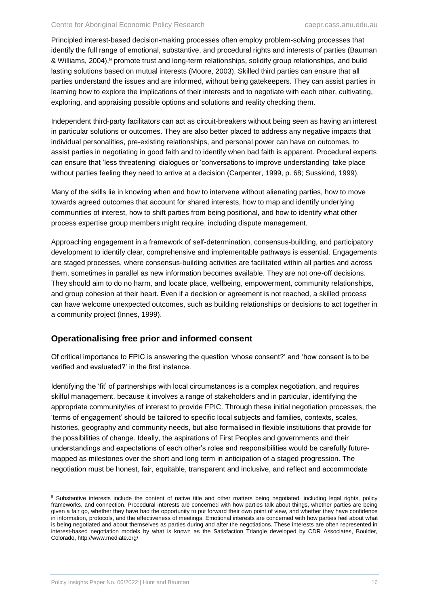Principled interest-based decision-making processes often employ problem-solving processes that identify the full range of emotional, substantive, and procedural rights and interests of parties (Bauman & Williams, 2004),<sup>9</sup> promote trust and long-term relationships, solidify group relationships, and build lasting solutions based on mutual interests (Moore, 2003). Skilled third parties can ensure that all parties understand the issues and are informed, without being gatekeepers. They can assist parties in learning how to explore the implications of their interests and to negotiate with each other, cultivating, exploring, and appraising possible options and solutions and reality checking them.

Independent third-party facilitators can act as circuit-breakers without being seen as having an interest in particular solutions or outcomes. They are also better placed to address any negative impacts that individual personalities, pre-existing relationships, and personal power can have on outcomes, to assist parties in negotiating in good faith and to identify when bad faith is apparent. Procedural experts can ensure that 'less threatening' dialogues or 'conversations to improve understanding' take place without parties feeling they need to arrive at a decision (Carpenter, 1999, p. 68; Susskind, 1999).

Many of the skills lie in knowing when and how to intervene without alienating parties, how to move towards agreed outcomes that account for shared interests, how to map and identify underlying communities of interest, how to shift parties from being positional, and how to identify what other process expertise group members might require, including dispute management.

Approaching engagement in a framework of self-determination, consensus-building, and participatory development to identify clear, comprehensive and implementable pathways is essential. Engagements are staged processes, where consensus-building activities are facilitated within all parties and across them, sometimes in parallel as new information becomes available. They are not one-off decisions. They should aim to do no harm, and locate place, wellbeing, empowerment, community relationships, and group cohesion at their heart. Even if a decision or agreement is not reached, a skilled process can have welcome unexpected outcomes, such as building relationships or decisions to act together in a community project (Innes, 1999).

#### **Operationalising free prior and informed consent**

Of critical importance to FPIC is answering the question 'whose consent?' and 'how consent is to be verified and evaluated?' in the first instance.

Identifying the 'fit' of partnerships with local circumstances is a complex negotiation, and requires skilful management, because it involves a range of stakeholders and in particular, identifying the appropriate community/ies of interest to provide FPIC. Through these initial negotiation processes, the 'terms of engagement' should be tailored to specific local subjects and families, contexts, scales, histories, geography and community needs, but also formalised in flexible institutions that provide for the possibilities of change. Ideally, the aspirations of First Peoples and governments and their understandings and expectations of each other's roles and responsibilities would be carefully futuremapped as milestones over the short and long term in anticipation of a staged progression. The negotiation must be honest, fair, equitable, transparent and inclusive, and reflect and accommodate

 $\overline{a}$ <sup>9</sup> Substantive interests include the content of native title and other matters being negotiated, including legal rights, policy frameworks, and connection. Procedural interests are concerned with how parties talk about things, whether parties are being given a fair go, whether they have had the opportunity to put forward their own point of view, and whether they have confidence in information, protocols, and the effectiveness of meetings. Emotional interests are concerned with how parties feel about what is being negotiated and about themselves as parties during and after the negotiations. These interests are often represented in interest-based negotiation models by what is known as the Satisfaction Triangle developed by CDR Associates, Boulder, Colorado, http://www.mediate.org/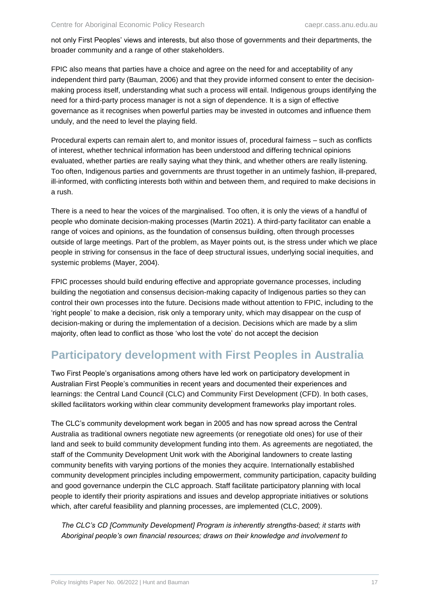not only First Peoples' views and interests, but also those of governments and their departments, the broader community and a range of other stakeholders.

FPIC also means that parties have a choice and agree on the need for and acceptability of any independent third party (Bauman, 2006) and that they provide informed consent to enter the decisionmaking process itself, understanding what such a process will entail. Indigenous groups identifying the need for a third-party process manager is not a sign of dependence. It is a sign of effective governance as it recognises when powerful parties may be invested in outcomes and influence them unduly, and the need to level the playing field.

Procedural experts can remain alert to, and monitor issues of, procedural fairness – such as conflicts of interest, whether technical information has been understood and differing technical opinions evaluated, whether parties are really saying what they think, and whether others are really listening. Too often, Indigenous parties and governments are thrust together in an untimely fashion, ill-prepared, ill-informed, with conflicting interests both within and between them, and required to make decisions in a rush.

There is a need to hear the voices of the marginalised. Too often, it is only the views of a handful of people who dominate decision-making processes (Martin 2021). A third-party facilitator can enable a range of voices and opinions, as the foundation of consensus building, often through processes outside of large meetings. Part of the problem, as Mayer points out, is the stress under which we place people in striving for consensus in the face of deep structural issues, underlying social inequities, and systemic problems (Mayer, 2004).

FPIC processes should build enduring effective and appropriate governance processes, including building the negotiation and consensus decision-making capacity of Indigenous parties so they can control their own processes into the future. Decisions made without attention to FPIC, including to the 'right people' to make a decision, risk only a temporary unity, which may disappear on the cusp of decision-making or during the implementation of a decision. Decisions which are made by a slim majority, often lead to conflict as those 'who lost the vote' do not accept the decision

# <span id="page-21-0"></span>**Participatory development with First Peoples in Australia**

Two First People's organisations among others have led work on participatory development in Australian First People's communities in recent years and documented their experiences and learnings: the Central Land Council (CLC) and Community First Development (CFD). In both cases, skilled facilitators working within clear community development frameworks play important roles.

The CLC's community development work began in 2005 and has now spread across the Central Australia as traditional owners negotiate new agreements (or renegotiate old ones) for use of their land and seek to build community development funding into them. As agreements are negotiated, the staff of the Community Development Unit work with the Aboriginal landowners to create lasting community benefits with varying portions of the monies they acquire. Internationally established community development principles including empowerment, community participation, capacity building and good governance underpin the CLC approach. Staff facilitate participatory planning with local people to identify their priority aspirations and issues and develop appropriate initiatives or solutions which, after careful feasibility and planning processes, are implemented (CLC, 2009).

*The CLC's CD [Community Development] Program is inherently strengths-based; it starts with Aboriginal people's own financial resources; draws on their knowledge and involvement to*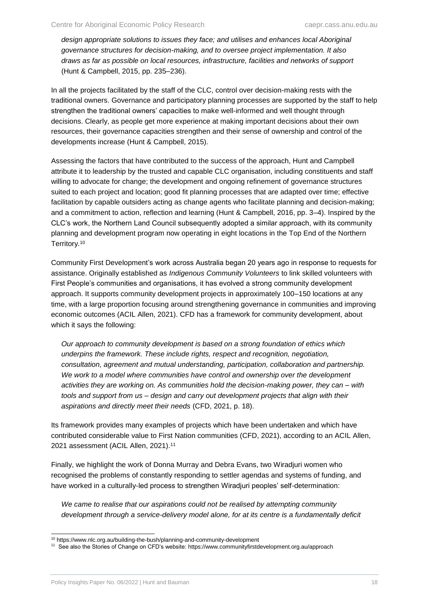*design appropriate solutions to issues they face; and utilises and enhances local Aboriginal governance structures for decision-making, and to oversee project implementation. It also draws as far as possible on local resources, infrastructure, facilities and networks of support*  (Hunt & Campbell, 2015, pp. 235–236).

In all the projects facilitated by the staff of the CLC, control over decision-making rests with the traditional owners. Governance and participatory planning processes are supported by the staff to help strengthen the traditional owners' capacities to make well-informed and well thought through decisions. Clearly, as people get more experience at making important decisions about their own resources, their governance capacities strengthen and their sense of ownership and control of the developments increase (Hunt & Campbell, 2015).

Assessing the factors that have contributed to the success of the approach, Hunt and Campbell attribute it to leadership by the trusted and capable CLC organisation, including constituents and staff willing to advocate for change; the development and ongoing refinement of governance structures suited to each project and location; good fit planning processes that are adapted over time; effective facilitation by capable outsiders acting as change agents who facilitate planning and decision-making; and a commitment to action, reflection and learning (Hunt & Campbell, 2016, pp. 3–4). Inspired by the CLC's work, the Northern Land Council subsequently adopted a similar approach, with its community planning and development program now operating in eight locations in the Top End of the Northern Territory.<sup>10</sup>

Community First Development's work across Australia began 20 years ago in response to requests for assistance. Originally established as *Indigenous Community Volunteers* to link skilled volunteers with First People's communities and organisations, it has evolved a strong community development approach. It supports community development projects in approximately 100–150 locations at any time, with a large proportion focusing around strengthening governance in communities and improving economic outcomes (ACIL Allen, 2021). CFD has a framework for community development, about which it says the following:

*Our approach to community development is based on a strong foundation of ethics which underpins the framework. These include rights, respect and recognition, negotiation, consultation, agreement and mutual understanding, participation, collaboration and partnership. We work to a model where communities have control and ownership over the development activities they are working on. As communities hold the decision-making power, they can – with tools and support from us – design and carry out development projects that align with their aspirations and directly meet their needs* (CFD, 2021, p. 18).

Its framework provides many examples of projects which have been undertaken and which have contributed considerable value to First Nation communities (CFD, 2021), according to an ACIL Allen, 2021 assessment (ACIL Allen, 2021).<sup>11</sup>

Finally, we highlight the work of Donna Murray and Debra Evans, two Wiradjuri women who recognised the problems of constantly responding to settler agendas and systems of funding, and have worked in a culturally-led process to strengthen Wiradjuri peoples' self-determination:

*We came to realise that our aspirations could not be realised by attempting community*  development through a service-delivery model alone, for at its centre is a fundamentally deficit

l <sup>10</sup> https://www.nlc.org.au/building-the-bush/planning-and-community-development

<sup>&</sup>lt;sup>11</sup> See also the Stories of Change on CFD's website: https://www.communityfirstdevelopment.org.au/approach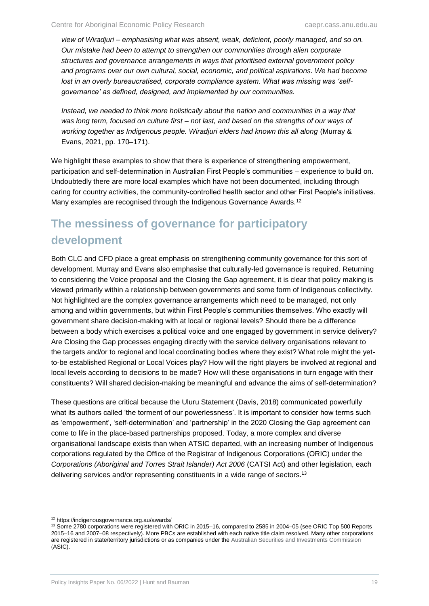*view of Wiradjuri – emphasising what was absent, weak, deficient, poorly managed, and so on. Our mistake had been to attempt to strengthen our communities through alien corporate structures and governance arrangements in ways that prioritised external government policy and programs over our own cultural, social, economic, and political aspirations. We had become lost in an overly bureaucratised, corporate compliance system. What was missing was 'selfgovernance' as defined, designed, and implemented by our communities.*

*Instead, we needed to think more holistically about the nation and communities in a way that was long term, focused on culture first – not last, and based on the strengths of our ways of working together as Indigenous people. Wiradjuri elders had known this all along* (Murray & Evans, 2021, pp. 170–171).

We highlight these examples to show that there is experience of strengthening empowerment, participation and self-determination in Australian First People's communities – experience to build on. Undoubtedly there are more local examples which have not been documented, including through caring for country activities, the community-controlled health sector and other First People's initiatives. Many examples are recognised through the Indigenous Governance Awards.<sup>12</sup>

# <span id="page-23-0"></span>**The messiness of governance for participatory development**

Both CLC and CFD place a great emphasis on strengthening community governance for this sort of development. Murray and Evans also emphasise that culturally-led governance is required. Returning to considering the Voice proposal and the Closing the Gap agreement, it is clear that policy making is viewed primarily within a relationship between governments and some form of Indigenous collectivity. Not highlighted are the complex governance arrangements which need to be managed, not only among and within governments, but within First People's communities themselves. Who exactly will government share decision-making with at local or regional levels? Should there be a difference between a body which exercises a political voice and one engaged by government in service delivery? Are Closing the Gap processes engaging directly with the service delivery organisations relevant to the targets and/or to regional and local coordinating bodies where they exist? What role might the yetto-be established Regional or Local Voices play? How will the right players be involved at regional and local levels according to decisions to be made? How will these organisations in turn engage with their constituents? Will shared decision-making be meaningful and advance the aims of self-determination?

These questions are critical because the Uluru Statement (Davis, 2018) communicated powerfully what its authors called 'the torment of our powerlessness'. It is important to consider how terms such as 'empowerment', 'self-determination' and 'partnership' in the 2020 Closing the Gap agreement can come to life in the place-based partnerships proposed. Today, a more complex and diverse organisational landscape exists than when ATSIC departed, with an increasing number of Indigenous corporations regulated by the Office of the Registrar of Indigenous Corporations (ORIC) under the *Corporations (Aboriginal and Torres Strait Islander) Act 2006* (CATSI Act) and other legislation, each delivering services and/or representing constituents in a wide range of sectors.<sup>13</sup>

 $\overline{a}$ 

<sup>12</sup> https://indigenousgovernance.org.au/awards/

<sup>&</sup>lt;sup>13</sup> Some 2780 corporations were registered with ORIC in 2015–16, compared to 2585 in 2004–05 (see ORIC Top 500 Reports 2015–16 and 2007–08 respectively). More PBCs are established with each native title claim resolved. Many other corporations are registered in state/territory jurisdictions or as companies under the Australian Securities and Investments Commission (ASIC).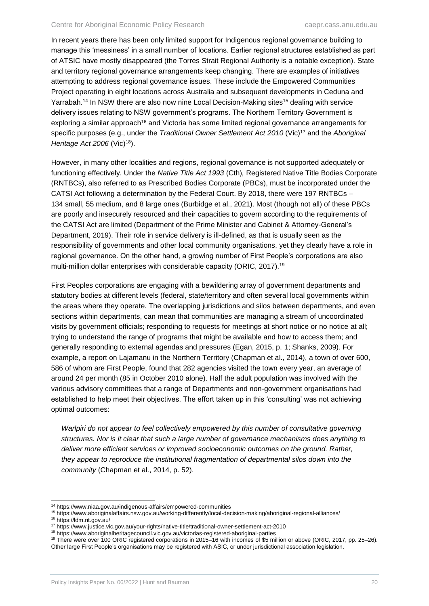In recent years there has been only limited support for Indigenous regional governance building to manage this 'messiness' in a small number of locations. Earlier regional structures established as part of ATSIC have mostly disappeared (the Torres Strait Regional Authority is a notable exception). State and territory regional governance arrangements keep changing. There are examples of initiatives attempting to address regional governance issues. These include the Empowered Communities Project operating in eight locations across Australia and subsequent developments in Ceduna and Yarrabah.<sup>14</sup> In NSW there are also now nine Local Decision-Making sites<sup>15</sup> dealing with service delivery issues relating to NSW government's programs. The Northern Territory Government is exploring a similar approach<sup>16</sup> and Victoria has some limited regional governance arrangements for specific purposes (e.g., under the *Traditional Owner Settlement Act 2010* (Vic)<sup>17</sup> and the *Aboriginal Heritage Act 2006* (Vic)<sup>18</sup>).

However, in many other localities and regions, regional governance is not supported adequately or functioning effectively. Under the *Native Title Act 1993* (Cth)*,* Registered Native Title Bodies Corporate (RNTBCs), also referred to as Prescribed Bodies Corporate (PBCs), must be incorporated under the CATSI Act following a determination by the Federal Court. By 2018, there were 197 RNTBCs – 134 small, 55 medium, and 8 large ones (Burbidge et al., 2021). Most (though not all) of these PBCs are poorly and insecurely resourced and their capacities to govern according to the requirements of the CATSI Act are limited (Department of the Prime Minister and Cabinet & Attorney-General's Department, 2019). Their role in service delivery is ill-defined, as that is usually seen as the responsibility of governments and other local community organisations, yet they clearly have a role in regional governance. On the other hand, a growing number of First People's corporations are also multi-million dollar enterprises with considerable capacity (ORIC, 2017).<sup>19</sup>

First Peoples corporations are engaging with a bewildering array of government departments and statutory bodies at different levels (federal, state/territory and often several local governments within the areas where they operate. The overlapping jurisdictions and silos between departments, and even sections within departments, can mean that communities are managing a stream of uncoordinated visits by government officials; responding to requests for meetings at short notice or no notice at all; trying to understand the range of programs that might be available and how to access them; and generally responding to external agendas and pressures (Egan, 2015, p. 1; Shanks, 2009). For example, a report on Lajamanu in the Northern Territory (Chapman et al., 2014), a town of over 600, 586 of whom are First People, found that 282 agencies visited the town every year, an average of around 24 per month (85 in October 2010 alone). Half the adult population was involved with the various advisory committees that a range of Departments and non-government organisations had established to help meet their objectives. The effort taken up in this 'consulting' was not achieving optimal outcomes:

*Warlpiri do not appear to feel collectively empowered by this number of consultative governing structures. Nor is it clear that such a large number of governance mechanisms does anything to deliver more efficient services or improved socioeconomic outcomes on the ground. Rather, they appear to reproduce the institutional fragmentation of departmental silos down into the community* (Chapman et al., 2014, p. 52).

 $\overline{a}$ <sup>14</sup> https://www.niaa.gov.au/indigenous-affairs/empowered-communities

<sup>15</sup> https://www.aboriginalaffairs.nsw.gov.au/working-differently/local-decision-making/aboriginal-regional-alliances/ <sup>16</sup> https://ldm.nt.gov.au/

<sup>17</sup> https://www.justice.vic.gov.au/your-rights/native-title/traditional-owner-settlement-act-2010

<sup>18</sup> https://www.aboriginalheritagecouncil.vic.gov.au/victorias-registered-aboriginal-parties

<sup>19</sup> There were over 100 ORIC registered corporations in 2015–16 with incomes of \$5 million or above (ORIC, 2017, pp. 25–26). Other large First People's organisations may be registered with ASIC, or under jurisdictional association legislation.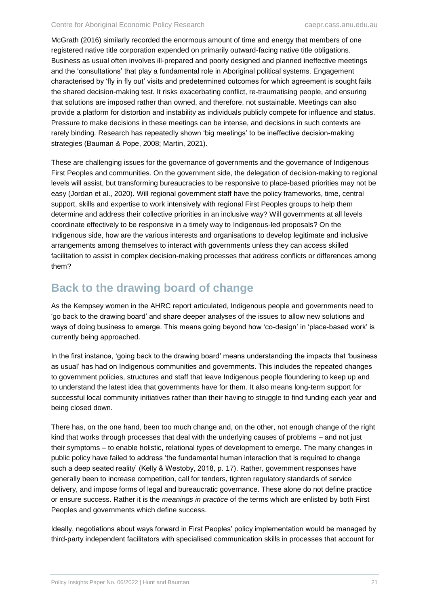McGrath (2016) similarly recorded the enormous amount of time and energy that members of one registered native title corporation expended on primarily outward-facing native title obligations. Business as usual often involves ill-prepared and poorly designed and planned ineffective meetings and the 'consultations' that play a fundamental role in Aboriginal political systems. Engagement characterised by 'fly in fly out' visits and predetermined outcomes for which agreement is sought fails the shared decision-making test. It risks exacerbating conflict, re-traumatising people, and ensuring that solutions are imposed rather than owned, and therefore, not sustainable. Meetings can also provide a platform for distortion and instability as individuals publicly compete for influence and status. Pressure to make decisions in these meetings can be intense, and decisions in such contexts are rarely binding. Research has repeatedly shown 'big meetings' to be ineffective decision-making strategies (Bauman & Pope, 2008; Martin, 2021).

These are challenging issues for the governance of governments and the governance of Indigenous First Peoples and communities. On the government side, the delegation of decision-making to regional levels will assist, but transforming bureaucracies to be responsive to place-based priorities may not be easy (Jordan et al., 2020). Will regional government staff have the policy frameworks, time, central support, skills and expertise to work intensively with regional First Peoples groups to help them determine and address their collective priorities in an inclusive way? Will governments at all levels coordinate effectively to be responsive in a timely way to Indigenous-led proposals? On the Indigenous side, how are the various interests and organisations to develop legitimate and inclusive arrangements among themselves to interact with governments unless they can access skilled facilitation to assist in complex decision-making processes that address conflicts or differences among them?

## <span id="page-25-0"></span>**Back to the drawing board of change**

As the Kempsey women in the AHRC report articulated, Indigenous people and governments need to 'go back to the drawing board' and share deeper analyses of the issues to allow new solutions and ways of doing business to emerge. This means going beyond how 'co-design' in 'place-based work' is currently being approached.

In the first instance, 'going back to the drawing board' means understanding the impacts that 'business as usual' has had on Indigenous communities and governments. This includes the repeated changes to government policies, structures and staff that leave Indigenous people floundering to keep up and to understand the latest idea that governments have for them. It also means long-term support for successful local community initiatives rather than their having to struggle to find funding each year and being closed down.

There has, on the one hand, been too much change and, on the other, not enough change of the right kind that works through processes that deal with the underlying causes of problems – and not just their symptoms – to enable holistic, relational types of development to emerge. The many changes in public policy have failed to address 'the fundamental human interaction that is required to change such a deep seated reality' (Kelly & Westoby, 2018, p. 17). Rather, government responses have generally been to increase competition, call for tenders, tighten regulatory standards of service delivery, and impose forms of legal and bureaucratic governance. These alone do not define practice or ensure success. Rather it is the *meanings in practice* of the terms which are enlisted by both First Peoples and governments which define success.

Ideally, negotiations about ways forward in First Peoples' policy implementation would be managed by third-party independent facilitators with specialised communication skills in processes that account for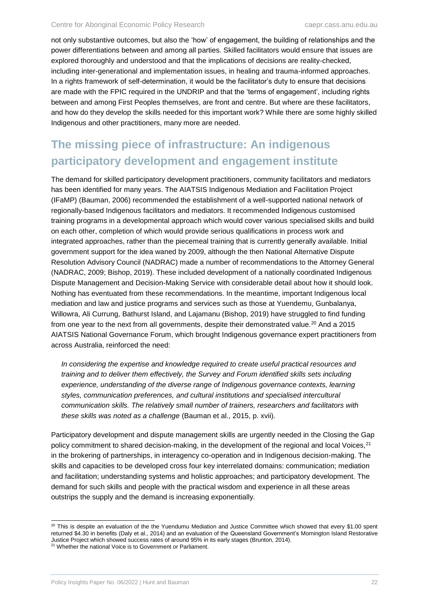not only substantive outcomes, but also the 'how' of engagement, the building of relationships and the power differentiations between and among all parties. Skilled facilitators would ensure that issues are explored thoroughly and understood and that the implications of decisions are reality-checked, including inter-generational and implementation issues, in healing and trauma-informed approaches. In a rights framework of self-determination, it would be the facilitator's duty to ensure that decisions are made with the FPIC required in the UNDRIP and that the 'terms of engagement', including rights between and among First Peoples themselves, are front and centre. But where are these facilitators, and how do they develop the skills needed for this important work? While there are some highly skilled Indigenous and other practitioners, many more are needed.

# <span id="page-26-0"></span>**The missing piece of infrastructure: An indigenous participatory development and engagement institute**

The demand for skilled participatory development practitioners, community facilitators and mediators has been identified for many years. The AIATSIS Indigenous Mediation and Facilitation Project (IFaMP) (Bauman, 2006) recommended the establishment of a well-supported national network of regionally-based Indigenous facilitators and mediators. It recommended Indigenous customised training programs in a developmental approach which would cover various specialised skills and build on each other, completion of which would provide serious qualifications in process work and integrated approaches, rather than the piecemeal training that is currently generally available. Initial government support for the idea waned by 2009, although the then National Alternative Dispute Resolution Advisory Council (NADRAC) made a number of recommendations to the Attorney General (NADRAC, 2009; Bishop, 2019). These included development of a nationally coordinated Indigenous Dispute Management and Decision-Making Service with considerable detail about how it should look. Nothing has eventuated from these recommendations. In the meantime, important Indigenous local mediation and law and justice programs and services such as those at Yuendemu, Gunbalanya, Willowra, Ali Currung, Bathurst Island, and Lajamanu (Bishop, 2019) have struggled to find funding from one year to the next from all governments, despite their demonstrated value.<sup>20</sup> And a 2015 AIATSIS National Governance Forum, which brought Indigenous governance expert practitioners from across Australia, reinforced the need:

*In considering the expertise and knowledge required to create useful practical resources and training and to deliver them effectively, the Survey and Forum identified skills sets including experience, understanding of the diverse range of Indigenous governance contexts, learning styles, communication preferences, and cultural institutions and specialised intercultural communication skills. The relatively small number of trainers, researchers and facilitators with these skills was noted as a challenge* (Bauman et al., 2015, p. xvii).

Participatory development and dispute management skills are urgently needed in the Closing the Gap policy commitment to shared decision-making, in the development of the regional and local Voices,<sup>21</sup> in the brokering of partnerships, in interagency co-operation and in Indigenous decision-making. The skills and capacities to be developed cross four key interrelated domains: communication; mediation and facilitation; understanding systems and holistic approaches; and participatory development. The demand for such skills and people with the practical wisdom and experience in all these areas outstrips the supply and the demand is increasing exponentially.

l

 $20$  This is despite an evaluation of the the Yuendumu Mediation and Justice Committee which showed that every \$1.00 spent returned \$4.30 in benefits (Daly et al., 2014) and an evaluation of the Queensland Government's Mornington Island Restorative Justice Project which showed success rates of around 95% in its early stages (Brunton, 2014).

<sup>&</sup>lt;sup>21</sup> Whether the national Voice is to Government or Parliament.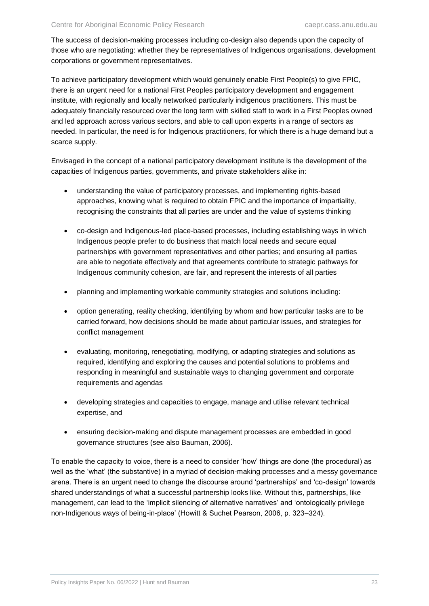The success of decision-making processes including co-design also depends upon the capacity of those who are negotiating: whether they be representatives of Indigenous organisations, development corporations or government representatives.

To achieve participatory development which would genuinely enable First People(s) to give FPIC, there is an urgent need for a national First Peoples participatory development and engagement institute, with regionally and locally networked particularly indigenous practitioners. This must be adequately financially resourced over the long term with skilled staff to work in a First Peoples owned and led approach across various sectors, and able to call upon experts in a range of sectors as needed. In particular, the need is for Indigenous practitioners, for which there is a huge demand but a scarce supply.

Envisaged in the concept of a national participatory development institute is the development of the capacities of Indigenous parties, governments, and private stakeholders alike in:

- understanding the value of participatory processes, and implementing rights-based approaches, knowing what is required to obtain FPIC and the importance of impartiality, recognising the constraints that all parties are under and the value of systems thinking
- co-design and Indigenous-led place-based processes, including establishing ways in which Indigenous people prefer to do business that match local needs and secure equal partnerships with government representatives and other parties; and ensuring all parties are able to negotiate effectively and that agreements contribute to strategic pathways for Indigenous community cohesion, are fair, and represent the interests of all parties
- planning and implementing workable community strategies and solutions including:
- option generating, reality checking, identifying by whom and how particular tasks are to be carried forward, how decisions should be made about particular issues, and strategies for conflict management
- evaluating, monitoring, renegotiating, modifying, or adapting strategies and solutions as required, identifying and exploring the causes and potential solutions to problems and responding in meaningful and sustainable ways to changing government and corporate requirements and agendas
- developing strategies and capacities to engage, manage and utilise relevant technical expertise, and
- ensuring decision-making and dispute management processes are embedded in good governance structures (see also Bauman, 2006).

To enable the capacity to voice, there is a need to consider 'how' things are done (the procedural) as well as the 'what' (the substantive) in a myriad of decision-making processes and a messy governance arena. There is an urgent need to change the discourse around 'partnerships' and 'co-design' towards shared understandings of what a successful partnership looks like. Without this, partnerships, like management, can lead to the 'implicit silencing of alternative narratives' and 'ontologically privilege non-Indigenous ways of being-in-place' (Howitt & Suchet Pearson, 2006, p. 323–324).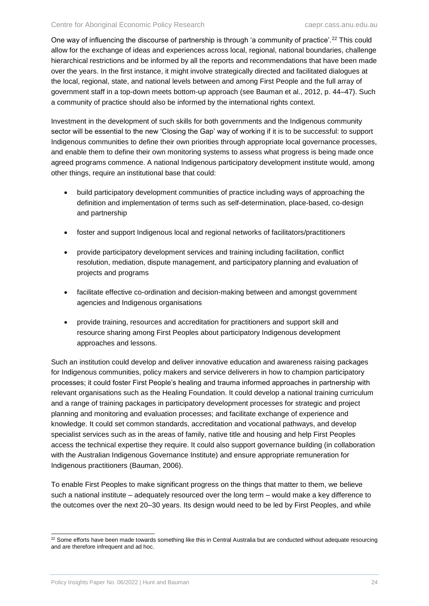One way of influencing the discourse of partnership is through 'a community of practice'.<sup>22</sup> This could allow for the exchange of ideas and experiences across local, regional, national boundaries, challenge hierarchical restrictions and be informed by all the reports and recommendations that have been made over the years. In the first instance, it might involve strategically directed and facilitated dialogues at the local, regional, state, and national levels between and among First People and the full array of government staff in a top-down meets bottom-up approach (see Bauman et al., 2012, p. 44–47). Such a community of practice should also be informed by the international rights context.

Investment in the development of such skills for both governments and the Indigenous community sector will be essential to the new 'Closing the Gap' way of working if it is to be successful: to support Indigenous communities to define their own priorities through appropriate local governance processes, and enable them to define their own monitoring systems to assess what progress is being made once agreed programs commence. A national Indigenous participatory development institute would, among other things, require an institutional base that could:

- build participatory development communities of practice including ways of approaching the definition and implementation of terms such as self-determination, place-based, co-design and partnership
- foster and support Indigenous local and regional networks of facilitators/practitioners
- provide participatory development services and training including facilitation, conflict resolution, mediation, dispute management, and participatory planning and evaluation of projects and programs
- facilitate effective co-ordination and decision-making between and amongst government agencies and Indigenous organisations
- provide training, resources and accreditation for practitioners and support skill and resource sharing among First Peoples about participatory Indigenous development approaches and lessons.

Such an institution could develop and deliver innovative education and awareness raising packages for Indigenous communities, policy makers and service deliverers in how to champion participatory processes; it could foster First People's healing and trauma informed approaches in partnership with relevant organisations such as the Healing Foundation. It could develop a national training curriculum and a range of training packages in participatory development processes for strategic and project planning and monitoring and evaluation processes; and facilitate exchange of experience and knowledge. It could set common standards, accreditation and vocational pathways, and develop specialist services such as in the areas of family, native title and housing and help First Peoples access the technical expertise they require. It could also support governance building (in collaboration with the Australian Indigenous Governance Institute) and ensure appropriate remuneration for Indigenous practitioners (Bauman, 2006).

To enable First Peoples to make significant progress on the things that matter to them, we believe such a national institute – adequately resourced over the long term – would make a key difference to the outcomes over the next 20–30 years. Its design would need to be led by First Peoples, and while

l  $22$  Some efforts have been made towards something like this in Central Australia but are conducted without adequate resourcing and are therefore infrequent and ad hoc.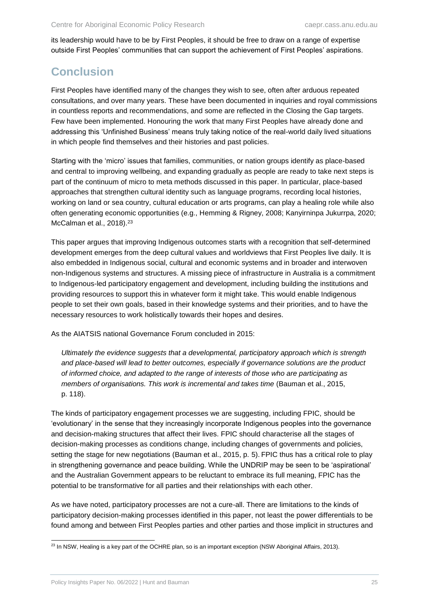its leadership would have to be by First Peoples, it should be free to draw on a range of expertise outside First Peoples' communities that can support the achievement of First Peoples' aspirations.

# <span id="page-29-0"></span>**Conclusion**

First Peoples have identified many of the changes they wish to see, often after arduous repeated consultations, and over many years. These have been documented in inquiries and royal commissions in countless reports and recommendations, and some are reflected in the Closing the Gap targets. Few have been implemented. Honouring the work that many First Peoples have already done and addressing this 'Unfinished Business' means truly taking notice of the real-world daily lived situations in which people find themselves and their histories and past policies.

Starting with the 'micro' issues that families, communities, or nation groups identify as place-based and central to improving wellbeing, and expanding gradually as people are ready to take next steps is part of the continuum of micro to meta methods discussed in this paper. In particular, place-based approaches that strengthen cultural identity such as language programs, recording local histories, working on land or sea country, cultural education or arts programs, can play a healing role while also often generating economic opportunities (e.g., Hemming & Rigney, 2008; Kanyirninpa Jukurrpa, 2020; McCalman et al., 2018).<sup>23</sup>

This paper argues that improving Indigenous outcomes starts with a recognition that self-determined development emerges from the deep cultural values and worldviews that First Peoples live daily. It is also embedded in Indigenous social, cultural and economic systems and in broader and interwoven non-Indigenous systems and structures. A missing piece of infrastructure in Australia is a commitment to Indigenous-led participatory engagement and development, including building the institutions and providing resources to support this in whatever form it might take. This would enable Indigenous people to set their own goals, based in their knowledge systems and their priorities, and to have the necessary resources to work holistically towards their hopes and desires.

As the AIATSIS national Governance Forum concluded in 2015:

*Ultimately the evidence suggests that a developmental, participatory approach which is strength and place-based will lead to better outcomes, especially if governance solutions are the product of informed choice, and adapted to the range of interests of those who are participating as members of organisations. This work is incremental and takes time (Bauman et al., 2015,* p. 118).

The kinds of participatory engagement processes we are suggesting, including FPIC, should be 'evolutionary' in the sense that they increasingly incorporate Indigenous peoples into the governance and decision-making structures that affect their lives. FPIC should characterise all the stages of decision-making processes as conditions change, including changes of governments and policies, setting the stage for new negotiations (Bauman et al., 2015, p. 5). FPIC thus has a critical role to play in strengthening governance and peace building. While the UNDRIP may be seen to be 'aspirational' and the Australian Government appears to be reluctant to embrace its full meaning, FPIC has the potential to be transformative for all parties and their relationships with each other.

As we have noted, participatory processes are not a cure-all. There are limitations to the kinds of participatory decision-making processes identified in this paper, not least the power differentials to be found among and between First Peoples parties and other parties and those implicit in structures and

 $\overline{a}$  $^{23}$  In NSW, Healing is a key part of the OCHRE plan, so is an important exception (NSW Aboriginal Affairs, 2013).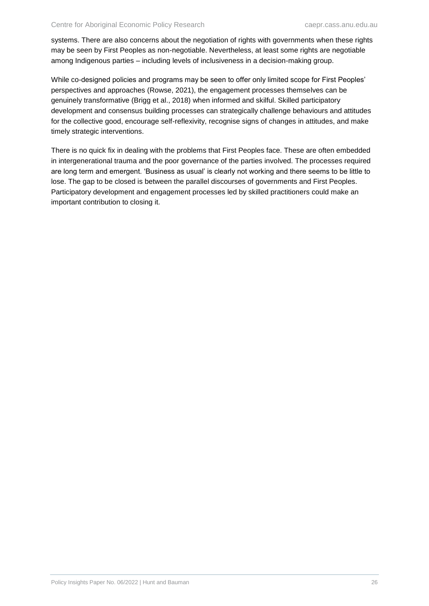systems. There are also concerns about the negotiation of rights with governments when these rights may be seen by First Peoples as non-negotiable. Nevertheless, at least some rights are negotiable among Indigenous parties – including levels of inclusiveness in a decision-making group.

While co-designed policies and programs may be seen to offer only limited scope for First Peoples' perspectives and approaches (Rowse, 2021), the engagement processes themselves can be genuinely transformative (Brigg et al., 2018) when informed and skilful. Skilled participatory development and consensus building processes can strategically challenge behaviours and attitudes for the collective good, encourage self-reflexivity, recognise signs of changes in attitudes, and make timely strategic interventions.

There is no quick fix in dealing with the problems that First Peoples face. These are often embedded in intergenerational trauma and the poor governance of the parties involved. The processes required are long term and emergent. 'Business as usual' is clearly not working and there seems to be little to lose. The gap to be closed is between the parallel discourses of governments and First Peoples. Participatory development and engagement processes led by skilled practitioners could make an important contribution to closing it.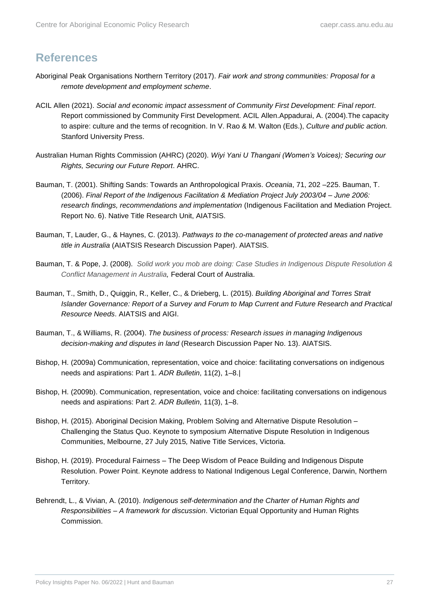## <span id="page-31-0"></span>**References**

- Aboriginal Peak Organisations Northern Territory (2017). *Fair work and strong communities: Proposal for a remote development and employment scheme*.
- ACIL Allen (2021). *Social and economic impact assessment of Community First Development: Final report*. Report commissioned by Community First Development. ACIL Allen.Appadurai, A. (2004).The capacity to aspire: culture and the terms of recognition. In V. Rao & M. Walton (Eds.), *Culture and public action.* Stanford University Press.
- Australian Human Rights Commission (AHRC) (2020). *Wiyi Yani U Thangani (Women's Voices); Securing our Rights, Securing our Future Report*. AHRC.
- Bauman, T. (2001). Shifting Sands: Towards an Anthropological Praxis. *Oceania*, 71, 202 –225. Bauman, T. (2006). *Final Report of the Indigenous Facilitation & Mediation Project July 2003/04 – June 2006: research findings, recommendations and implementation* (Indigenous Facilitation and Mediation Project. Report No. 6). Native Title Research Unit, AIATSIS.
- Bauman, T, Lauder, G., & Haynes, C. (2013). *Pathways to the co-management of protected areas and native title in Australia* (AIATSIS Research Discussion Paper). AIATSIS.
- Bauman, T. & Pope, J. (2008). *[Solid work you mob are doing: Case Studies in Indigenous Dispute Resolution &](http://www.aiatsis.gov.au/ntru/docs/researchthemes/negmedfac/decisionmaking/BaumanReport.pdf)  [Conflict Management in Australia,](http://www.aiatsis.gov.au/ntru/docs/researchthemes/negmedfac/decisionmaking/BaumanReport.pdf)* Federal Court of Australia.
- Bauman, T., Smith, D., Quiggin, R., Keller, C., & Drieberg, L. (2015). *Building Aboriginal and Torres Strait Islander Governance: Report of a Survey and Forum to Map Current and Future Research and Practical Resource Needs*. AIATSIS and AIGI.
- Bauman, T., & Williams, R. (2004). *The business of process: Research issues in managing Indigenous decision-making and disputes in land* (Research Discussion Paper No. 13). AIATSIS.
- Bishop, H. (2009a) Communication, representation, voice and choice: facilitating conversations on indigenous needs and aspirations: Part 1. *ADR Bulletin*, 11(2), 1–8.|
- Bishop, H. (2009b). Communication, representation, voice and choice: facilitating conversations on indigenous needs and aspirations: Part 2. *ADR Bulletin*, 11(3), 1–8.
- Bishop, H. (2015). Aboriginal Decision Making, Problem Solving and Alternative Dispute Resolution Challenging the Status Quo. Keynote to symposium Alternative Dispute Resolution in Indigenous Communities, Melbourne, 27 July 2015*,* Native Title Services, Victoria.
- Bishop, H. (2019). Procedural Fairness The Deep Wisdom of Peace Building and Indigenous Dispute Resolution. Power Point. Keynote address to National Indigenous Legal Conference, Darwin, Northern Territory.
- Behrendt, L., & Vivian, A. (2010). *Indigenous self-determination and the Charter of Human Rights and Responsibilities – A framework for discussion*. Victorian Equal Opportunity and Human Rights Commission.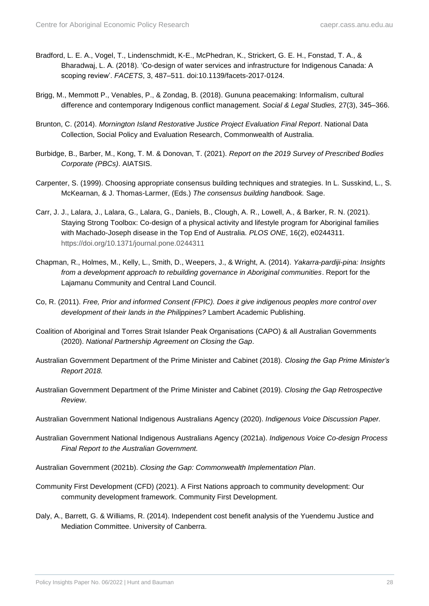- Bradford, L. E. A., Vogel, T., Lindenschmidt, K-E., McPhedran, K., Strickert, G. E. H., Fonstad, T. A., & Bharadwaj, L. A. (2018). 'Co-design of water services and infrastructure for Indigenous Canada: A scoping review'. *FACETS*, 3, 487–511. doi:10.1139/facets-2017-0124.
- Brigg, M., Memmott P., Venables, P., & Zondag, B. (2018). Gununa peacemaking: Informalism, cultural difference and contemporary Indigenous conflict management. *Social & Legal Studies,* 27(3), 345–366.
- Brunton, C. (2014). *Mornington Island Restorative Justice Project Evaluation Final Report*. National Data Collection, Social Policy and Evaluation Research, Commonwealth of Australia.
- Burbidge, B., Barber, M., Kong, T. M. & Donovan, T. (2021). *Report on the 2019 Survey of Prescribed Bodies Corporate (PBCs)*. AIATSIS.
- Carpenter, S. (1999). Choosing appropriate consensus building techniques and strategies. In L. Susskind, L., S. McKearnan, & J. Thomas-Larmer, (Eds.) *The consensus building handbook.* Sage.
- Carr, J. J., Lalara, J., Lalara, G., Lalara, G., Daniels, B., Clough, A. R., Lowell, A., & Barker, R. N. (2021). Staying Strong Toolbox: Co-design of a physical activity and lifestyle program for Aboriginal families with Machado-Joseph disease in the Top End of Australia. *PLOS ONE*, 16(2), e0244311. <https://doi.org/10.1371/journal.pone.0244311>
- Chapman, R., Holmes, M., Kelly, L., Smith, D., Weepers, J., & Wright, A. (2014). *Yakarra-pardiji-pina: Insights from a development approach to rebuilding governance in Aboriginal communities*. Report for the Lajamanu Community and Central Land Council.
- Co, R. (2011). *Free, Prior and informed Consent (FPIC). Does it give indigenous peoples more control over development of their lands in the Philippines?* Lambert Academic Publishing.
- Coalition of Aboriginal and Torres Strait Islander Peak Organisations (CAPO) & all Australian Governments (2020). *National Partnership Agreement on Closing the Gap*.
- Australian Government Department of the Prime Minister and Cabinet (2018). *Closing the Gap Prime Minister's Report 2018.*
- Australian Government Department of the Prime Minister and Cabinet (2019). *Closing the Gap Retrospective Review*.
- Australian Government National Indigenous Australians Agency (2020). *Indigenous Voice Discussion Paper.*
- Australian Government National Indigenous Australians Agency (2021a). *Indigenous Voice Co-design Process Final Report to the Australian Government.*
- Australian Government (2021b). *Closing the Gap: Commonwealth Implementation Plan*.
- Community First Development (CFD) (2021). A First Nations approach to community development: Our community development framework. Community First Development.
- Daly, A., Barrett, G. & Williams, R. (2014). Independent cost benefit analysis of the Yuendemu Justice and Mediation Committee. University of Canberra.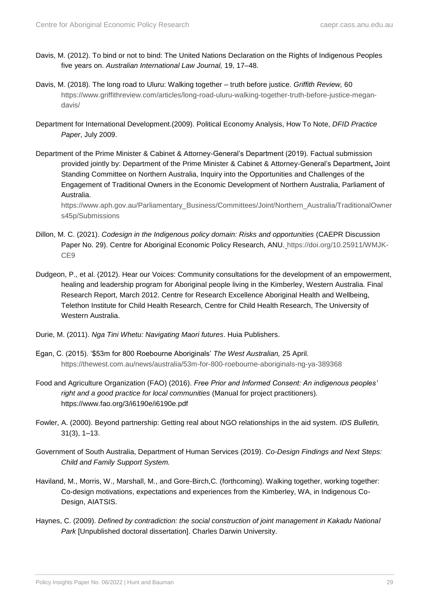- Davis, M. (2012). To bind or not to bind: The United Nations Declaration on the Rights of Indigenous Peoples five years on. *Australian International Law Journal,* 19, 17–48.
- Davis, M. (2018). The long road to Uluru: Walking together truth before justice. *Griffith Review,* 60 [https://www.griffithreview.com/articles/long-road-uluru-walking-together-truth-before-justice-megan](https://www.griffithreview.com/articles/long-road-uluru-walking-together-truth-before-justice-megan-davis/)[davis/](https://www.griffithreview.com/articles/long-road-uluru-walking-together-truth-before-justice-megan-davis/)
- Department for International Development.(2009). Political Economy Analysis, How To Note, *DFID Practice Paper*, July 2009.
- Department of the Prime Minister & Cabinet & Attorney-General's Department (2019). Factual submission provided jointly by: Department of the Prime Minister & Cabinet & Attorney-General's Department**,** Joint Standing Committee on Northern Australia, Inquiry into the Opportunities and Challenges of the Engagement of Traditional Owners in the Economic Development of Northern Australia, Parliament of Australia.

[https://www.aph.gov.au/Parliamentary\\_Business/Committees/Joint/Northern\\_Australia/TraditionalOwner](https://www.aph.gov.au/Parliamentary_Business/Committees/Joint/Northern_Australia/TraditionalOwners45p/Submissions) [s45p/Submissions](https://www.aph.gov.au/Parliamentary_Business/Committees/Joint/Northern_Australia/TraditionalOwners45p/Submissions)

- Dillon, M. C. (2021). *Codesign in the Indigenous policy domain: Risks and opportunities* (CAEPR Discussion Paper No. 29). Centre for Aboriginal Economic Policy Research, ANU. [https://doi.org/10.25911/WMJK-](https://doi.org/10.25911/WMJK-CE9)[CE9](https://doi.org/10.25911/WMJK-CE9)
- Dudgeon, P., et al. (2012). Hear our Voices: Community consultations for the development of an empowerment, healing and leadership program for Aboriginal people living in the Kimberley, Western Australia. Final Research Report, March 2012. Centre for Research Excellence Aboriginal Health and Wellbeing, Telethon Institute for Child Health Research, Centre for Child Health Research, The University of Western Australia.
- Durie, M. (2011). *Nga Tini Whetu: Navigating Maori futures*. Huia Publishers.
- Egan, C. (2015). '\$53m for 800 Roebourne Aboriginals' *The West Australian,* 25 April. <https://thewest.com.au/news/australia/53m-for-800-roebourne-aboriginals-ng-ya-389368>
- Food and Agriculture Organization (FAO) (2016). *Free Prior and Informed Consent: An indigenous peoples' right and a good practice for local communities* (Manual for project practitioners). https://www.fao.org/3/i6190e/i6190e.pdf
- Fowler, A. (2000). Beyond partnership: Getting real about NGO relationships in the aid system. *IDS Bulletin,*  31(3), 1–13.
- Government of South Australia, Department of Human Services (2019). *Co-Design Findings and Next Steps: Child and Family Support System.*
- Haviland, M., Morris, W., Marshall, M., and Gore-Birch,C. (forthcoming). Walking together, working together: Co-design motivations, expectations and experiences from the Kimberley, WA, in Indigenous Co-Design, AIATSIS.
- Haynes, C. (2009). *Defined by contradiction: the social construction of joint management in Kakadu National Park* [Unpublished doctoral dissertation]. Charles Darwin University.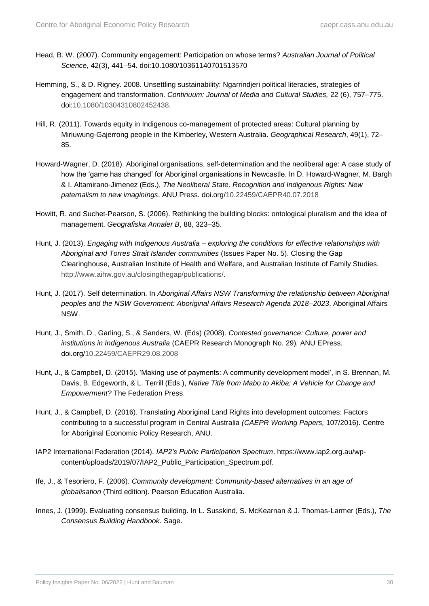- Head, B. W. (2007). Community engagement: Participation on whose terms? *Australian Journal of Political Science,* 42(3), 441–54. doi:10.1080/10361140701513570
- Hemming, S., & D. Rigney. 2008. Unsettling sustainability: Ngarrindjeri political literacies, strategies of engagement and transformation. *Continuum: Journal of Media and Cultural Studies,* 22 (6), 757–775. doi[:10.1080/10304310802452438.](https://doi.org/10.1080/10304310802452438)
- Hill, R. (2011). Towards equity in Indigenous co-management of protected areas: Cultural planning by Miriuwung-Gajerrong people in the Kimberley, Western Australia. *Geographical Research*, 49(1), 72– 85.
- Howard-Wagner, D. (2018). Aboriginal organisations, self-determination and the neoliberal age: A case study of how the 'game has changed' for Aboriginal organisations in Newcastle. In D. Howard-Wagner, M. Bargh & I. Altamirano-Jimenez (Eds.), *The Neoliberal State, Recognition and Indigenous Rights: New paternalism to new imaginings*. ANU Press. doi.org[/10.22459/CAEPR40.07.2018](http://doi.org/10.22459/CAEPR40.07.2018)
- Howitt, R. and Suchet-Pearson, S. (2006). Rethinking the building blocks: ontological pluralism and the idea of management. *Geografiska Annaler B*, 88, 323–35.
- Hunt, J. (2013). *Engaging with Indigenous Australia – exploring the conditions for effective relationships with Aboriginal and Torres Strait Islander communities* (Issues Paper No. 5). Closing the Gap Clearinghouse, Australian Institute of Health and Welfare, and Australian Institute of Family Studies. [http://www.aihw.gov.au/closingthegap/publications/.](http://www.aihw.gov.au/closingthegap/publications/)
- Hunt, J. (2017). Self determination. In *Aboriginal Affairs NSW Transforming the relationship between Aboriginal peoples and the NSW Government: Aboriginal Affairs Research Agenda 2018–2023*. Aboriginal Affairs NSW.
- Hunt, J., Smith, D., Garling, S., & Sanders, W. (Eds) (2008). *Contested governance: Culture, power and institutions in Indigenous Australia* (CAEPR Research Monograph No. 29)*.* ANU EPress. doi.org[/10.22459/CAEPR29.08.2008](http://doi.org/10.22459/CAEPR29.08.2008)
- Hunt, J., & Campbell, D. (2015). 'Making use of payments: A community development model', in S. Brennan, M. Davis, B. Edgeworth, & L. Terrill (Eds.), *Native Title from Mabo to Akiba: A Vehicle for Change and Empowerment?* The Federation Press.
- Hunt, J., & Campbell, D. (2016). Translating Aboriginal Land Rights into development outcomes: Factors contributing to a successful program in Central Australia *(CAEPR Working Papers,* 107/2016). Centre for Aboriginal Economic Policy Research, ANU.
- IAP2 International Federation (2014). *IAP2's Public Participation Spectrum*. https://www.iap2.org.au/wpcontent/uploads/2019/07/IAP2\_Public\_Participation\_Spectrum.pdf.
- Ife, J., & Tesoriero, F. (2006). *Community development: Community-based alternatives in an age of globalisation* (Third edition). Pearson Education Australia.
- Innes, J. (1999). Evaluating consensus building. In L. Susskind, S. McKearnan & J. Thomas-Larmer (Eds.), *The Consensus Building Handbook*. Sage.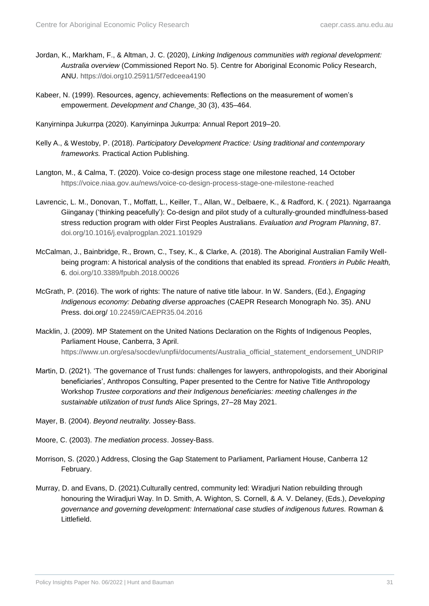- Jordan, K., Markham, F., & Altman, J. C. (2020), *Linking Indigenous communities with regional development: Australia overview* (Commissioned Report No. 5). Centre for Aboriginal Economic Policy Research, ANU.<https://doi.org10.25911/5f7edceea4190>
- Kabeer, N. (1999). Resources, agency, achievements: Reflections on the measurement of women's empowerment. *Development and Change,* 30 (3), 435–464.

Kanyirninpa Jukurrpa (2020). Kanyirninpa Jukurrpa: Annual Report 2019–20.

- Kelly A., & Westoby, P. (2018). *Participatory Development Practice: Using traditional and contemporary frameworks.* Practical Action Publishing.
- Langton, M., & Calma, T. (2020). Voice co-design process stage one milestone reached, 14 October <https://voice.niaa.gov.au/news/voice-co-design-process-stage-one-milestone-reached>
- Lavrencic, L. M., Donovan, T., Moffatt, L., Keiller, T., Allan, W., Delbaere, K., & Radford, K. ( 2021). Ngarraanga Giinganay ('thinking peacefully'): Co-design and pilot study of a culturally-grounded mindfulness-based stress reduction program with older First Peoples Australians. *Evaluation and Program Planning*, 87. [doi.org/10.1016/j.evalprogplan.2021.101929](https://doi.org/10.1016/j.evalprogplan.2021.101929)
- McCalman, J., Bainbridge, R., Brown, C., Tsey, K., & Clarke, A. (2018). The Aboriginal Australian Family Wellbeing program: A historical analysis of the conditions that enabled its spread. *Frontiers in Public Health,* 6. [doi.org/10.3389/fpubh.2018.00026](https://doi.org/10.3389/fpubh.2018.00026)
- McGrath, P. (2016). The work of rights: The nature of native title labour. In W. Sanders, (Ed.), *Engaging Indigenous economy: Debating diverse approaches* (CAEPR Research Monograph No. 35). ANU Press. doi.org/ [10.22459/CAEPR35.04.2016](http://doi.org/10.22459/CAEPR35.04.2016)
- Macklin, J. (2009). MP Statement on the United Nations Declaration on the Rights of Indigenous Peoples, Parliament House, Canberra, 3 April. [https://www.un.org/esa/socdev/unpfii/documents/Australia\\_official\\_statement\\_endorsement\\_UNDRIP](https://www.un.org/esa/socdev/unpfii/documents/Australia_official_statement_endorsement_UNDRIP)
- Martin, D. (2021). 'The governance of Trust funds: challenges for lawyers, anthropologists, and their Aboriginal beneficiaries', Anthropos Consulting, Paper presented to the Centre for Native Title Anthropology Workshop *Trustee corporations and their Indigenous beneficiaries: meeting challenges in the sustainable utilization of trust funds* Alice Springs, 27–28 May 2021.
- Mayer, B. (2004). *Beyond neutrality.* Jossey-Bass.
- Moore, C. (2003). *The mediation process*. Jossey-Bass.
- Morrison, S. (2020.) Address, Closing the Gap Statement to Parliament, Parliament House, Canberra 12 February.
- Murray, D. and Evans, D. (2021).Culturally centred, community led: Wiradjuri Nation rebuilding through honouring the Wiradjuri Way. In D. Smith, A. Wighton, S. Cornell, & A. V. Delaney, (Eds.), *Developing governance and governing development: International case studies of indigenous futures.* Rowman & Littlefield.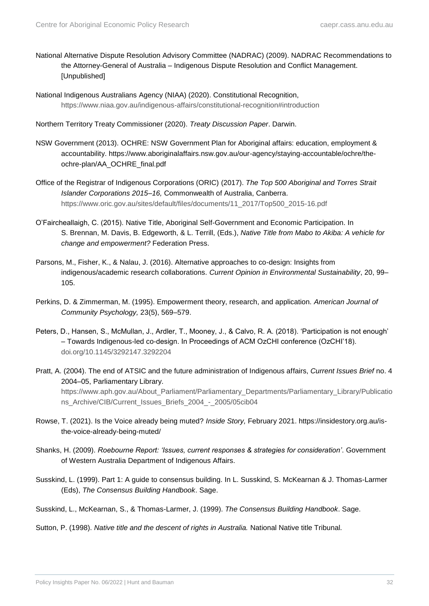- National Alternative Dispute Resolution Advisory Committee (NADRAC) (2009). NADRAC Recommendations to the Attorney-General of Australia – Indigenous Dispute Resolution and Conflict Management. [Unpublished]
- National Indigenous Australians Agency (NIAA) (2020). Constitutional Recognition, <https://www.niaa.gov.au/indigenous-affairs/constitutional-recognition#introduction>
- Northern Territory Treaty Commissioner (2020). *Treaty Discussion Paper*. Darwin.
- NSW Government (2013). OCHRE: NSW Government Plan for Aboriginal affairs: education, employment & accountability. https://www.aboriginalaffairs.nsw.gov.au/our-agency/staying-accountable/ochre/theochre-plan/AA\_OCHRE\_final.pdf
- Office of the Registrar of Indigenous Corporations (ORIC) (2017). *The Top 500 Aboriginal and Torres Strait Islander Corporations 2015–16,* Commonwealth of Australia, Canberra. [https://www.oric.gov.au/sites/default/files/documents/11\\_2017/Top500\\_2015-16.pdf](https://www.oric.gov.au/sites/default/files/documents/11_2017/Top500_2015-16.pdf)
- O'Faircheallaigh, C. (2015). Native Title, Aboriginal Self-Government and Economic Participation. In S. Brennan, M. Davis, B. Edgeworth, & L. Terrill, (Eds.), *Native Title from Mabo to Akiba: A vehicle for change and empowerment?* Federation Press.
- Parsons, M., Fisher, K., & Nalau, J. (2016). Alternative approaches to co-design: Insights from indigenous/academic research collaborations. *Current Opinion in Environmental Sustainability*, 20, 99– 105.
- Perkins, D. & Zimmerman, M. (1995). Empowerment theory, research, and application. *American Journal of Community Psychology,* 23(5), 569–579.
- Peters, D., Hansen, S., McMullan, J., Ardler, T., Mooney, J., & Calvo, R. A. (2018). 'Participation is not enough' – Towards Indigenous-led co-design. In Proceedings of ACM OzCHI conference (OzCHI'18). [doi.org/10.1145/3292147.3292204](https://doi.org/10.1145/3292147.3292204)
- Pratt, A. (2004). The end of ATSIC and the future administration of Indigenous affairs, *Current Issues Brief* no. 4 2004–05, Parliamentary Library. [https://www.aph.gov.au/About\\_Parliament/Parliamentary\\_Departments/Parliamentary\\_Library/Publicatio](https://www.aph.gov.au/About_Parliament/Parliamentary_Departments/Parliamentary_Library/Publications_Archive/CIB/Current_Issues_Briefs_2004_-_2005/05cib04) [ns\\_Archive/CIB/Current\\_Issues\\_Briefs\\_2004\\_-\\_2005/05cib04](https://www.aph.gov.au/About_Parliament/Parliamentary_Departments/Parliamentary_Library/Publications_Archive/CIB/Current_Issues_Briefs_2004_-_2005/05cib04)
- Rowse, T. (2021). Is the Voice already being muted? *Inside Story,* February 2021. https://insidestory.org.au/isthe-voice-already-being-muted/
- Shanks, H. (2009). *Roebourne Report: 'Issues, current responses & strategies for consideration'*. Government of Western Australia Department of Indigenous Affairs.
- Susskind, L. (1999). Part 1: A guide to consensus building. In L. Susskind, S. McKearnan & J. Thomas-Larmer (Eds), *The Consensus Building Handbook*. Sage.

Susskind, L., McKearnan, S., & Thomas-Larmer, J. (1999). *The Consensus Building Handbook*. Sage.

Sutton, P. (1998). *Native title and the descent of rights in Australia.* National Native title Tribunal*.*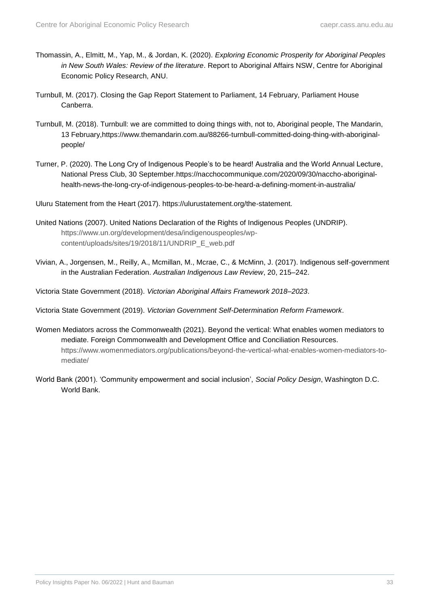- Thomassin, A., Elmitt, M., Yap, M., & Jordan, K. (2020). *Exploring Economic Prosperity for Aboriginal Peoples in New South Wales: Review of the literature*. Report to Aboriginal Affairs NSW, Centre for Aboriginal Economic Policy Research, ANU.
- Turnbull, M. (2017). Closing the Gap Report Statement to Parliament, 14 February, Parliament House Canberra.
- Turnbull, M. (2018). Turnbull: we are committed to doing things with, not to, Aboriginal people, The Mandarin, 13 February,https://www.themandarin.com.au/88266-turnbull-committed-doing-thing-with-aboriginalpeople/
- Turner, P. (2020). The Long Cry of Indigenous People's to be heard! Australia and the World Annual Lecture, National Press Club, 30 September.https://nacchocommunique.com/2020/09/30/naccho-aboriginalhealth-news-the-long-cry-of-indigenous-peoples-to-be-heard-a-defining-moment-in-australia/
- Uluru Statement from the Heart (2017). https://ulurustatement.org/the-statement.
- United Nations (2007). United Nations Declaration of the Rights of Indigenous Peoples (UNDRIP). [https://www.un.org/development/desa/indigenouspeoples/wp](https://www.un.org/development/desa/indigenouspeoples/wp-content/uploads/sites/19/2018/11/UNDRIP_E_web.pdf)[content/uploads/sites/19/2018/11/UNDRIP\\_E\\_web.pdf](https://www.un.org/development/desa/indigenouspeoples/wp-content/uploads/sites/19/2018/11/UNDRIP_E_web.pdf)
- Vivian, A., Jorgensen, M., Reilly, A., Mcmillan, M., Mcrae, C., & McMinn, J. (2017). Indigenous self-government in the Australian Federation. *Australian Indigenous Law Review*, 20, 215–242.
- Victoria State Government (2018). *Victorian Aboriginal Affairs Framework 2018–2023*.
- Victoria State Government (2019). *Victorian Government Self-Determination Reform Framework*.
- Women Mediators across the Commonwealth (2021). Beyond the vertical: What enables women mediators to mediate. Foreign Commonwealth and Development Office and Conciliation Resources. [https://www.womenmediators.org/publications/beyond-the-vertical-what-enables-women-mediators-to](https://www.womenmediators.org/publications/beyond-the-vertical-what-enables-women-mediators-to-mediate/)[mediate/](https://www.womenmediators.org/publications/beyond-the-vertical-what-enables-women-mediators-to-mediate/)
- World Bank (2001). 'Community empowerment and social inclusion', *Social Policy Design*, Washington D.C. World Bank.